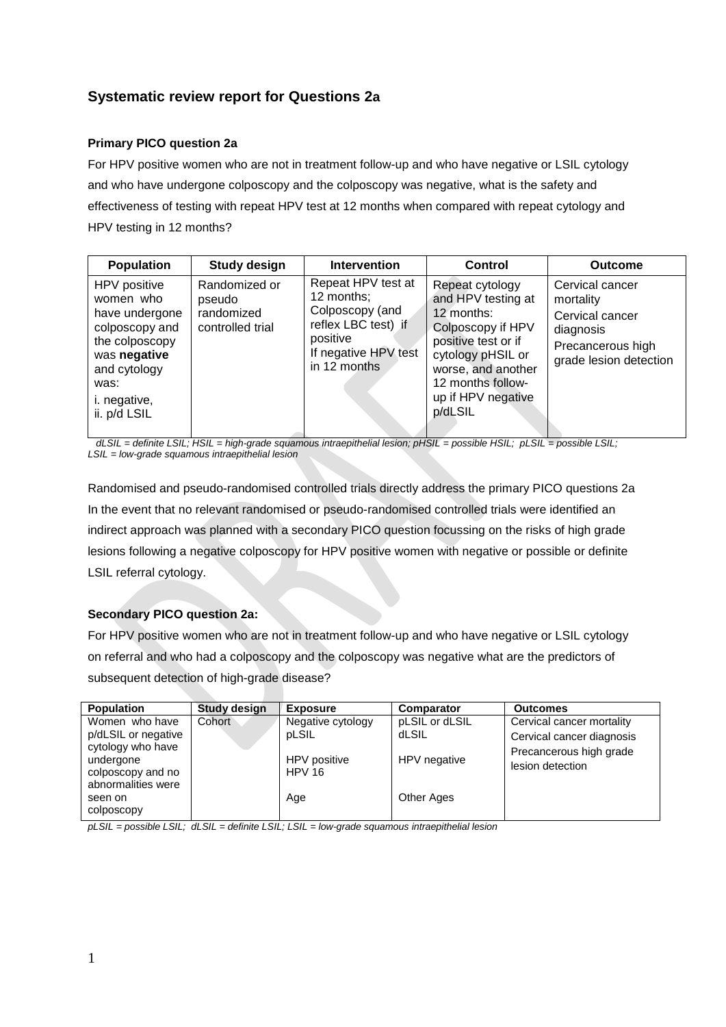# **Systematic review report for Questions 2a**

## **Primary PICO question 2a**

For HPV positive women who are not in treatment follow-up and who have negative or LSIL cytology and who have undergone colposcopy and the colposcopy was negative, what is the safety and effectiveness of testing with repeat HPV test at 12 months when compared with repeat cytology and HPV testing in 12 months?

| <b>Population</b>                                                                                                                                              | <b>Study design</b>                                       | <b>Intervention</b>                                                                                                            | Control                                                                                                                                                                                          | <b>Outcome</b>                                                                                              |
|----------------------------------------------------------------------------------------------------------------------------------------------------------------|-----------------------------------------------------------|--------------------------------------------------------------------------------------------------------------------------------|--------------------------------------------------------------------------------------------------------------------------------------------------------------------------------------------------|-------------------------------------------------------------------------------------------------------------|
| HPV positive<br>women who<br>have undergone<br>colposcopy and<br>the colposcopy<br>was negative<br>and cytology<br>was:<br><i>i.</i> negative,<br>ii. p/d LSIL | Randomized or<br>pseudo<br>randomized<br>controlled trial | Repeat HPV test at<br>12 months;<br>Colposcopy (and<br>reflex LBC test) if<br>positive<br>If negative HPV test<br>in 12 months | Repeat cytology<br>and HPV testing at<br>12 months:<br>Colposcopy if HPV<br>positive test or if<br>cytology pHSIL or<br>worse, and another<br>12 months follow-<br>up if HPV negative<br>p/dLSIL | Cervical cancer<br>mortality<br>Cervical cancer<br>diagnosis<br>Precancerous high<br>grade lesion detection |

 *dLSIL = definite LSIL; HSIL = high-grade squamous intraepithelial lesion; pHSIL = possible HSIL; pLSIL = possible LSIL; LSIL = low-grade squamous intraepithelial lesion* 

Randomised and pseudo-randomised controlled trials directly address the primary PICO questions 2a In the event that no relevant randomised or pseudo-randomised controlled trials were identified an indirect approach was planned with a secondary PICO question focussing on the risks of high grade lesions following a negative colposcopy for HPV positive women with negative or possible or definite LSIL referral cytology.

## **Secondary PICO question 2a:**

For HPV positive women who are not in treatment follow-up and who have negative or LSIL cytology on referral and who had a colposcopy and the colposcopy was negative what are the predictors of subsequent detection of high-grade disease?

| <b>Population</b>                       | <b>Study design</b> | <b>Exposure</b>               | Comparator        | <b>Outcomes</b>           |
|-----------------------------------------|---------------------|-------------------------------|-------------------|---------------------------|
| Women who have                          | Cohort              | Negative cytology             | pLSIL or dLSIL    | Cervical cancer mortality |
| p/dLSIL or negative                     |                     | pLSIL                         | dLSIL             | Cervical cancer diagnosis |
| cytology who have                       |                     |                               |                   | Precancerous high grade   |
| undergone                               |                     | HPV positive<br><b>HPV 16</b> | HPV negative      | lesion detection          |
| colposcopy and no<br>abnormalities were |                     |                               |                   |                           |
| seen on                                 |                     | Age                           | <b>Other Ages</b> |                           |
| colposcopy                              |                     |                               |                   |                           |

*pLSIL = possible LSIL; dLSIL = definite LSIL; LSIL = low-grade squamous intraepithelial lesion*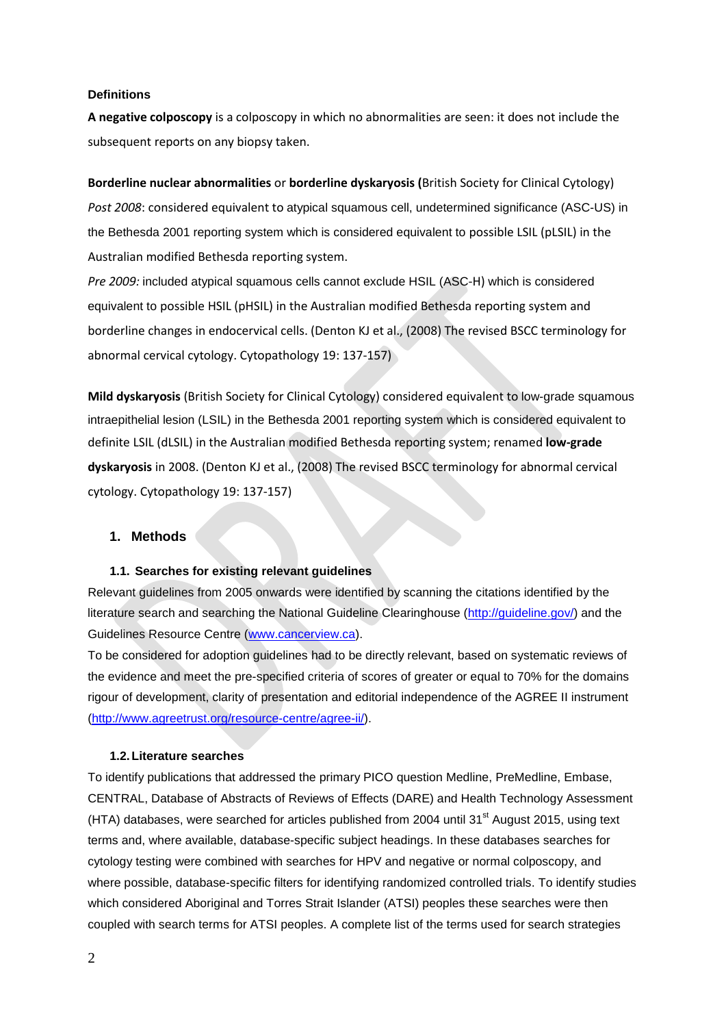#### **Definitions**

**A negative colposcopy** is a colposcopy in which no abnormalities are seen: it does not include the subsequent reports on any biopsy taken.

#### **Borderline nuclear abnormalities** or **borderline dyskaryosis (**British Society for Clinical Cytology)

*Post 2008*: considered equivalent to atypical squamous cell, undetermined significance (ASC-US) in the Bethesda 2001 reporting system which is considered equivalent to possible LSIL (pLSIL) in the Australian modified Bethesda reporting system.

*Pre 2009:* included atypical squamous cells cannot exclude HSIL (ASC-H) which is considered equivalent to possible HSIL (pHSIL) in the Australian modified Bethesda reporting system and borderline changes in endocervical cells. (Denton KJ et al., (2008) The revised BSCC terminology for abnormal cervical cytology. Cytopathology 19: 137-157)

**Mild dyskaryosis** (British Society for Clinical Cytology) considered equivalent to low-grade squamous intraepithelial lesion (LSIL) in the Bethesda 2001 reporting system which is considered equivalent to definite LSIL (dLSIL) in the Australian modified Bethesda reporting system; renamed **low-grade dyskaryosis** in 2008. (Denton KJ et al., (2008) The revised BSCC terminology for abnormal cervical cytology. Cytopathology 19: 137-157)

### **1. Methods**

#### **1.1. Searches for existing relevant guidelines**

Relevant guidelines from 2005 onwards were identified by scanning the citations identified by the literature search and searching the National Guideline Clearinghouse [\(http://guideline.gov/\)](http://guideline.gov/) and the Guidelines Resource Centre [\(www.cancerview.ca\)](http://www.cancerview.ca/).

To be considered for adoption guidelines had to be directly relevant, based on systematic reviews of the evidence and meet the pre-specified criteria of scores of greater or equal to 70% for the domains rigour of development, clarity of presentation and editorial independence of the AGREE II instrument [\(http://www.agreetrust.org/resource-centre/agree-ii/\)](http://www.agreetrust.org/resource-centre/agree-ii/).

#### **1.2.Literature searches**

To identify publications that addressed the primary PICO question Medline, PreMedline, Embase, CENTRAL, Database of Abstracts of Reviews of Effects (DARE) and Health Technology Assessment (HTA) databases, were searched for articles published from 2004 until 31 $^{\text{st}}$  August 2015, using text terms and, where available, database-specific subject headings. In these databases searches for cytology testing were combined with searches for HPV and negative or normal colposcopy, and where possible, database-specific filters for identifying randomized controlled trials. To identify studies which considered Aboriginal and Torres Strait Islander (ATSI) peoples these searches were then coupled with search terms for ATSI peoples. A complete list of the terms used for search strategies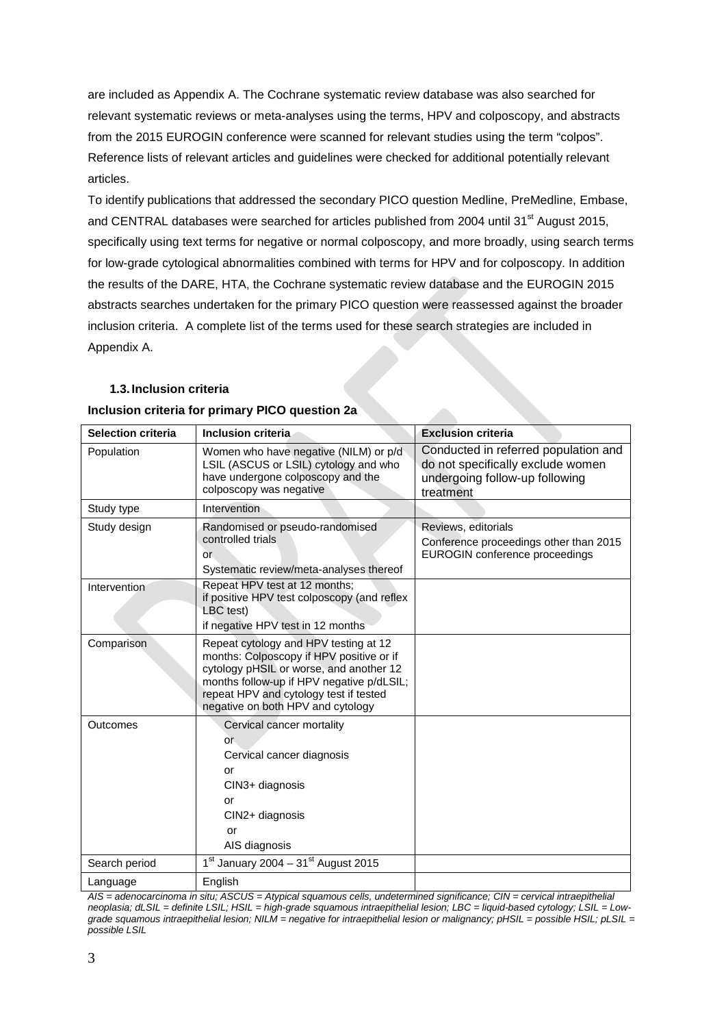are included as Appendix A. The Cochrane systematic review database was also searched for relevant systematic reviews or meta-analyses using the terms, HPV and colposcopy, and abstracts from the 2015 EUROGIN conference were scanned for relevant studies using the term "colpos". Reference lists of relevant articles and guidelines were checked for additional potentially relevant articles.

To identify publications that addressed the secondary PICO question Medline, PreMedline, Embase, and CENTRAL databases were searched for articles published from 2004 until 31<sup>st</sup> August 2015, specifically using text terms for negative or normal colposcopy, and more broadly, using search terms for low-grade cytological abnormalities combined with terms for HPV and for colposcopy. In addition the results of the DARE, HTA, the Cochrane systematic review database and the EUROGIN 2015 abstracts searches undertaken for the primary PICO question were reassessed against the broader inclusion criteria. A complete list of the terms used for these search strategies are included in Appendix A.

### **1.3. Inclusion criteria**

| <b>Selection criteria</b> | Inclusion criteria.                                                                                                                                                                                                                                      | <b>Exclusion criteria</b>                                                                                                |
|---------------------------|----------------------------------------------------------------------------------------------------------------------------------------------------------------------------------------------------------------------------------------------------------|--------------------------------------------------------------------------------------------------------------------------|
| Population                | Women who have negative (NILM) or p/d<br>LSIL (ASCUS or LSIL) cytology and who<br>have undergone colposcopy and the<br>colposcopy was negative                                                                                                           | Conducted in referred population and<br>do not specifically exclude women<br>undergoing follow-up following<br>treatment |
| Study type                | Intervention                                                                                                                                                                                                                                             |                                                                                                                          |
| Study design              | Randomised or pseudo-randomised<br>controlled trials<br>or.<br>Systematic review/meta-analyses thereof                                                                                                                                                   | Reviews, editorials<br>Conference proceedings other than 2015<br>EUROGIN conference proceedings                          |
| Intervention              | Repeat HPV test at 12 months;<br>if positive HPV test colposcopy (and reflex<br>LBC test)<br>if negative HPV test in 12 months                                                                                                                           |                                                                                                                          |
| Comparison                | Repeat cytology and HPV testing at 12<br>months: Colposcopy if HPV positive or if<br>cytology pHSIL or worse, and another 12<br>months follow-up if HPV negative p/dLSIL;<br>repeat HPV and cytology test if tested<br>negative on both HPV and cytology |                                                                                                                          |
| Outcomes                  | Cervical cancer mortality<br>or.<br>Cervical cancer diagnosis<br>or<br>CIN3+ diagnosis<br>or<br>CIN2+ diagnosis<br>or<br>AIS diagnosis                                                                                                                   |                                                                                                                          |
| Search period             | $1st$ January 2004 – 31 <sup>st</sup> August 2015                                                                                                                                                                                                        |                                                                                                                          |
| Language                  | English                                                                                                                                                                                                                                                  |                                                                                                                          |

#### **Inclusion criteria for primary PICO question 2a**

*AIS = adenocarcinoma in situ; ASCUS = Atypical squamous cells, undetermined significance; CIN = cervical intraepithelial neoplasia; dLSIL = definite LSIL; HSIL = high-grade squamous intraepithelial lesion; LBC = liquid-based cytology; LSIL = Lowgrade squamous intraepithelial lesion; NILM = negative for intraepithelial lesion or malignancy; pHSIL = possible HSIL; pLSIL = possible LSIL*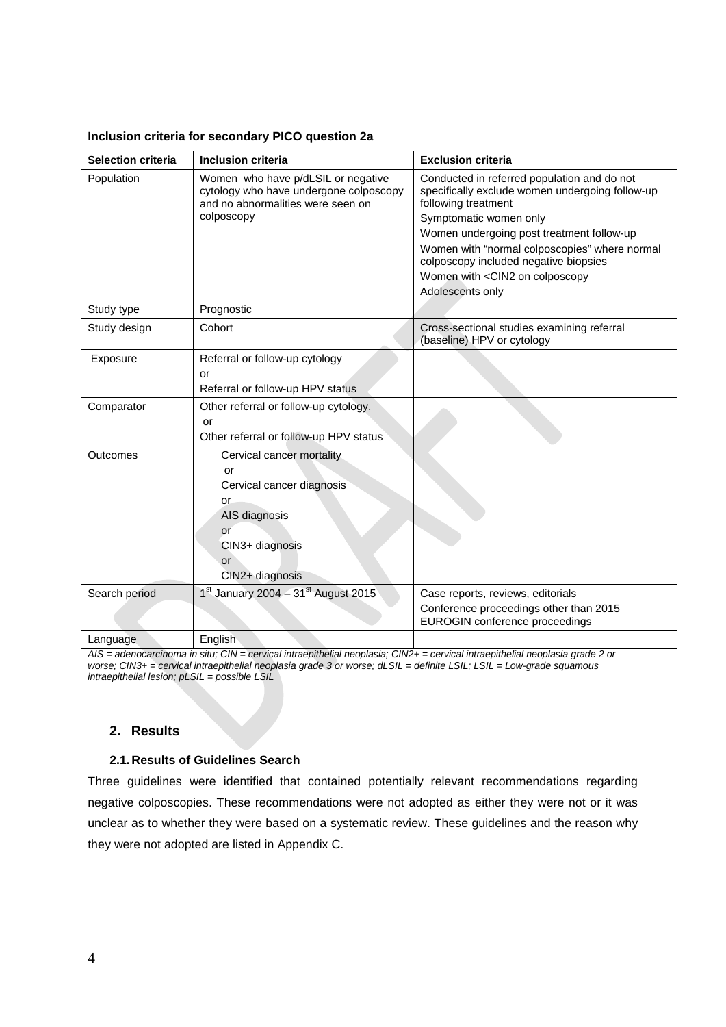| <b>Selection criteria</b> | <b>Inclusion criteria</b>                                                                                                                    | <b>Exclusion criteria</b>                                                                                                                       |
|---------------------------|----------------------------------------------------------------------------------------------------------------------------------------------|-------------------------------------------------------------------------------------------------------------------------------------------------|
| Population                | Women who have p/dLSIL or negative<br>cytology who have undergone colposcopy<br>and no abnormalities were seen on<br>colposcopy              | Conducted in referred population and do not<br>specifically exclude women undergoing follow-up<br>following treatment<br>Symptomatic women only |
|                           |                                                                                                                                              | Women undergoing post treatment follow-up<br>Women with "normal colposcopies" where normal<br>colposcopy included negative biopsies             |
|                           |                                                                                                                                              | Women with <cin2 colposcopy<br="" on="">Adolescents only</cin2>                                                                                 |
| Study type                | Prognostic                                                                                                                                   |                                                                                                                                                 |
| Study design              | Cohort                                                                                                                                       | Cross-sectional studies examining referral<br>(baseline) HPV or cytology                                                                        |
| Exposure                  | Referral or follow-up cytology<br>or<br>Referral or follow-up HPV status                                                                     |                                                                                                                                                 |
| Comparator                | Other referral or follow-up cytology,<br>or<br>Other referral or follow-up HPV status                                                        |                                                                                                                                                 |
| Outcomes                  | Cervical cancer mortality<br>or<br>Cervical cancer diagnosis<br><b>or</b><br>AIS diagnosis<br>or<br>CIN3+ diagnosis<br>or<br>CIN2+ diagnosis |                                                                                                                                                 |
| Search period             | $1st$ January 2004 – $31st$ August 2015                                                                                                      | Case reports, reviews, editorials<br>Conference proceedings other than 2015<br>EUROGIN conference proceedings                                   |
| Language                  | English                                                                                                                                      |                                                                                                                                                 |

*AIS = adenocarcinoma in situ; CIN = cervical intraepithelial neoplasia; CIN2+ = cervical intraepithelial neoplasia grade 2 or worse; CIN3+ = cervical intraepithelial neoplasia grade 3 or worse; dLSIL = definite LSIL; LSIL = Low-grade squamous intraepithelial lesion; pLSIL = possible LSIL*

## **2. Results**

### **2.1. Results of Guidelines Search**

Three guidelines were identified that contained potentially relevant recommendations regarding negative colposcopies. These recommendations were not adopted as either they were not or it was unclear as to whether they were based on a systematic review. These guidelines and the reason why they were not adopted are listed in Appendix C.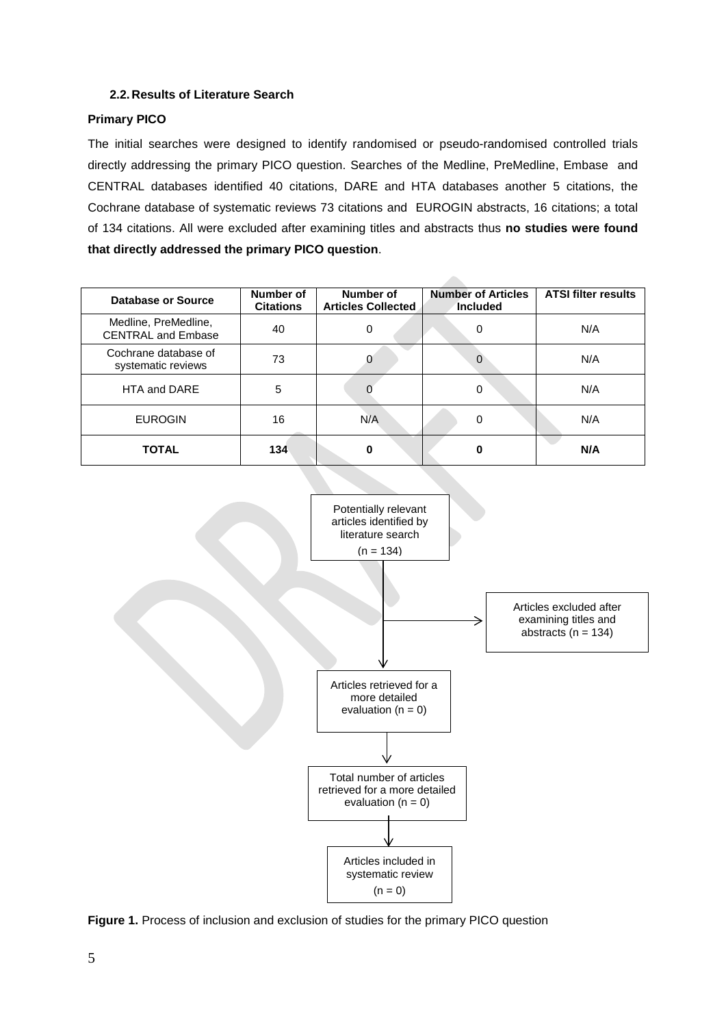## **2.2. Results of Literature Search**

## **Primary PICO**

The initial searches were designed to identify randomised or pseudo-randomised controlled trials directly addressing the primary PICO question. Searches of the Medline, PreMedline, Embase and CENTRAL databases identified 40 citations, DARE and HTA databases another 5 citations, the Cochrane database of systematic reviews 73 citations and EUROGIN abstracts, 16 citations; a total of 134 citations. All were excluded after examining titles and abstracts thus **no studies were found that directly addressed the primary PICO question**.

**Allen** 

| <b>Database or Source</b>                         | Number of<br><b>Citations</b> | Number of<br><b>Articles Collected</b> | <b>Number of Articles</b><br>Included | <b>ATSI filter results</b> |
|---------------------------------------------------|-------------------------------|----------------------------------------|---------------------------------------|----------------------------|
| Medline, PreMedline,<br><b>CENTRAL and Embase</b> | 40                            | 0                                      | 0                                     | N/A                        |
| Cochrane database of<br>systematic reviews        | 73                            |                                        | 0                                     | N/A                        |
| HTA and DARE                                      | 5                             |                                        | 0                                     | N/A                        |
| <b>EUROGIN</b>                                    | 16                            | N/A                                    | 0                                     | N/A                        |
| <b>TOTAL</b>                                      | 134                           |                                        | 0                                     | N/A                        |



**Figure 1.** Process of inclusion and exclusion of studies for the primary PICO question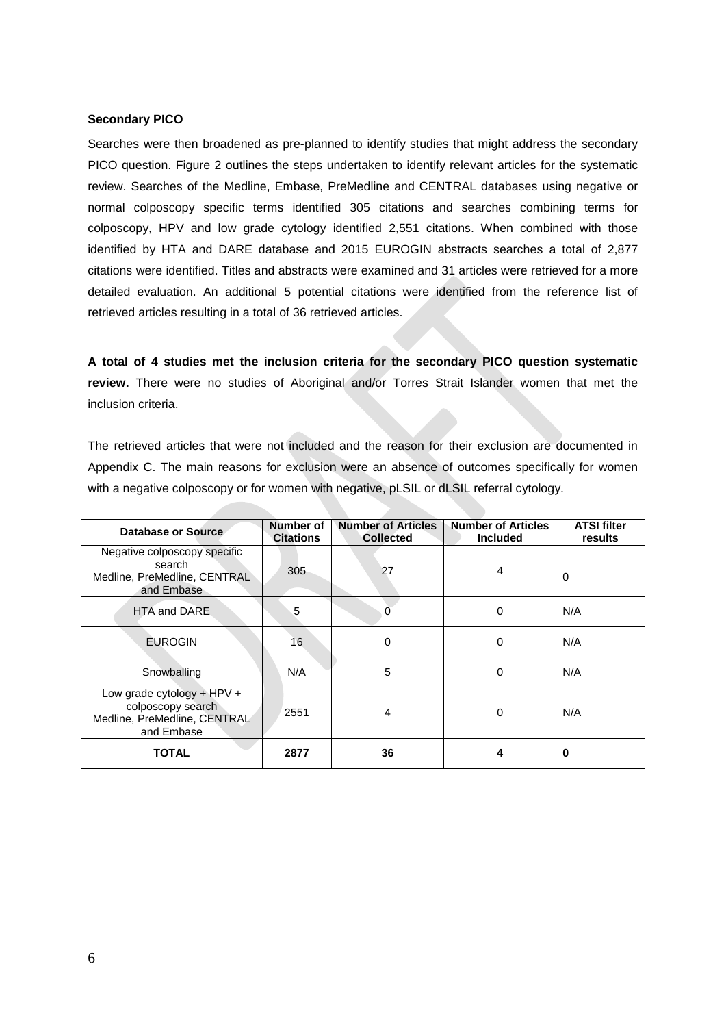#### **Secondary PICO**

Searches were then broadened as pre-planned to identify studies that might address the secondary PICO question. Figure 2 outlines the steps undertaken to identify relevant articles for the systematic review. Searches of the Medline, Embase, PreMedline and CENTRAL databases using negative or normal colposcopy specific terms identified 305 citations and searches combining terms for colposcopy, HPV and low grade cytology identified 2,551 citations. When combined with those identified by HTA and DARE database and 2015 EUROGIN abstracts searches a total of 2,877 citations were identified. Titles and abstracts were examined and 31 articles were retrieved for a more detailed evaluation. An additional 5 potential citations were identified from the reference list of retrieved articles resulting in a total of 36 retrieved articles.

**A total of 4 studies met the inclusion criteria for the secondary PICO question systematic review.** There were no studies of Aboriginal and/or Torres Strait Islander women that met the inclusion criteria.

The retrieved articles that were not included and the reason for their exclusion are documented in Appendix C. The main reasons for exclusion were an absence of outcomes specifically for women with a negative colposcopy or for women with negative, pLSIL or dLSIL referral cytology.

| Database or Source                                                                              | Number of<br><b>Citations</b> | <b>Number of Articles</b><br><b>Collected</b> | <b>Number of Articles</b><br><b>Included</b> | <b>ATSI filter</b><br>results |
|-------------------------------------------------------------------------------------------------|-------------------------------|-----------------------------------------------|----------------------------------------------|-------------------------------|
| Negative colposcopy specific<br>search<br>Medline, PreMedline, CENTRAL<br>and Embase            | 305                           | 27                                            | 4                                            | 0                             |
| HTA and DARE                                                                                    | 5                             | 0                                             | $\Omega$                                     | N/A                           |
| <b>EUROGIN</b>                                                                                  | 16                            | 0                                             | 0                                            | N/A                           |
| Snowballing                                                                                     | N/A                           | 5                                             | $\Omega$                                     | N/A                           |
| Low grade cytology + $HPV +$<br>colposcopy search<br>Medline, PreMedline, CENTRAL<br>and Embase | 2551                          | 4                                             | $\Omega$                                     | N/A                           |
| <b>TOTAL</b>                                                                                    | 2877                          | 36                                            | 4                                            | 0                             |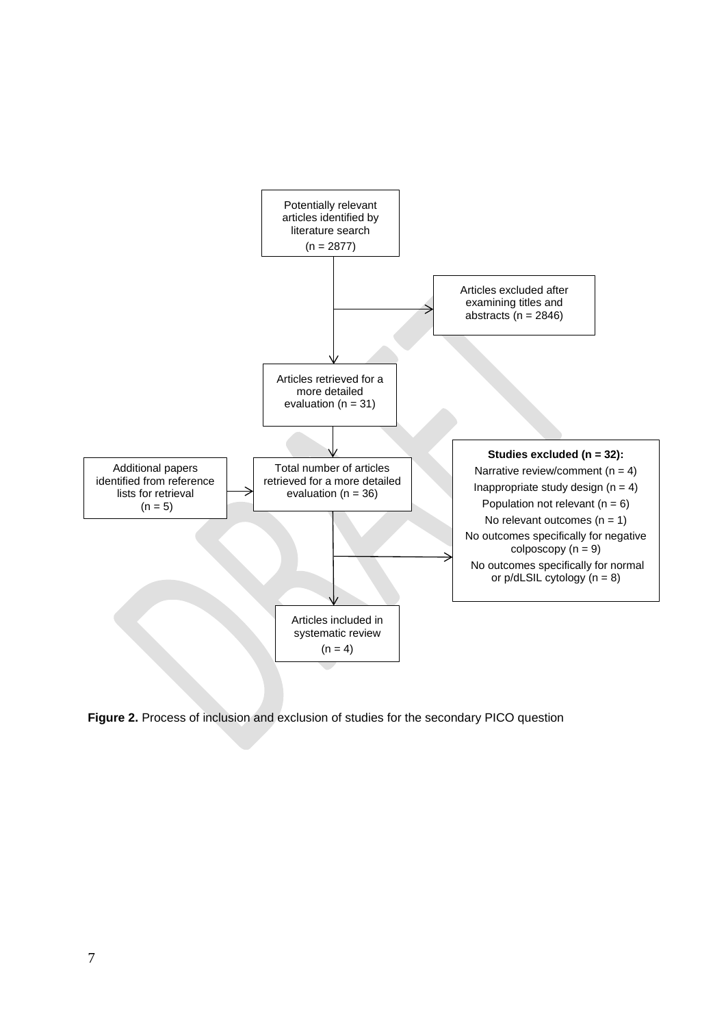

**Figure 2.** Process of inclusion and exclusion of studies for the secondary PICO question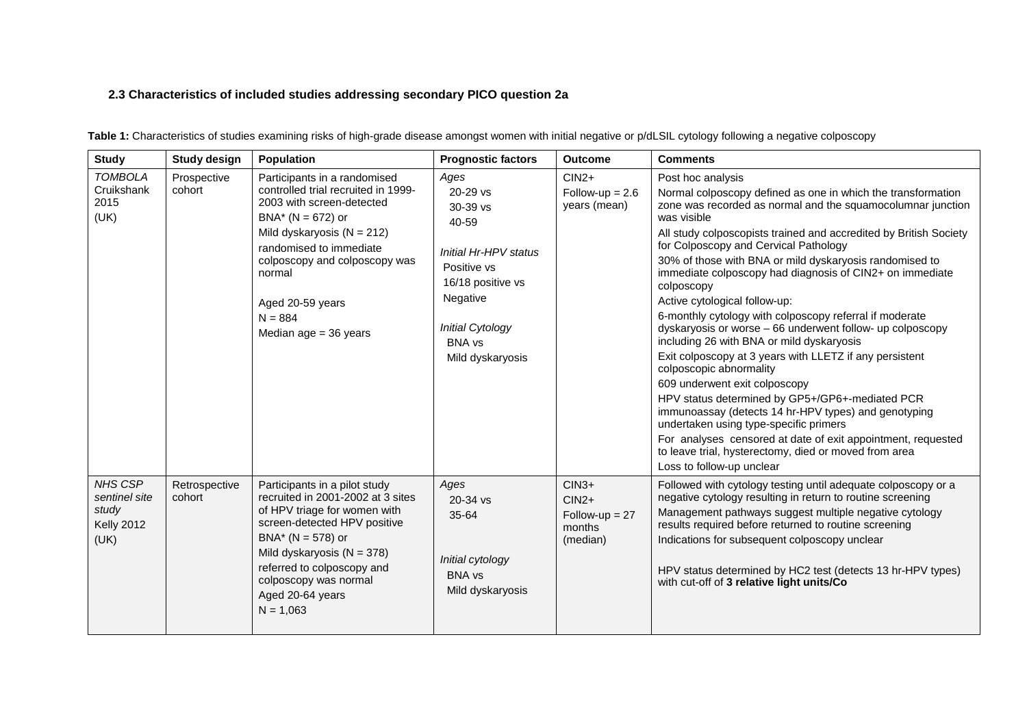## **2.3 Characteristics of included studies addressing secondary PICO question 2a**

| <b>Study</b>                                                          | <b>Study design</b>     | <b>Population</b>                                                                                                                                                                                                                                                                           | <b>Prognostic factors</b>                                                                                                                                                 | <b>Outcome</b>                                               | <b>Comments</b>                                                                                                                                                                                                                                                                                                                                                                                                                                                                                                                                                                                                                                                                                                                                                                                                                                                                                                                                                                                                                                            |
|-----------------------------------------------------------------------|-------------------------|---------------------------------------------------------------------------------------------------------------------------------------------------------------------------------------------------------------------------------------------------------------------------------------------|---------------------------------------------------------------------------------------------------------------------------------------------------------------------------|--------------------------------------------------------------|------------------------------------------------------------------------------------------------------------------------------------------------------------------------------------------------------------------------------------------------------------------------------------------------------------------------------------------------------------------------------------------------------------------------------------------------------------------------------------------------------------------------------------------------------------------------------------------------------------------------------------------------------------------------------------------------------------------------------------------------------------------------------------------------------------------------------------------------------------------------------------------------------------------------------------------------------------------------------------------------------------------------------------------------------------|
| <b>TOMBOLA</b><br>Cruikshank<br>2015<br>(UK)                          | Prospective<br>cohort   | Participants in a randomised<br>controlled trial recruited in 1999-<br>2003 with screen-detected<br>$BNA* (N = 672)$ or<br>Mild dyskaryosis ( $N = 212$ )<br>randomised to immediate<br>colposcopy and colposcopy was<br>normal<br>Aged 20-59 years<br>$N = 884$<br>Median $age = 36$ years | Ages<br>20-29 vs<br>$30-39$ vs<br>40-59<br>Initial Hr-HPV status<br>Positive vs<br>16/18 positive vs<br>Negative<br>Initial Cytology<br><b>BNA</b> vs<br>Mild dyskaryosis | $CIN2+$<br>Follow-up = $2.6$<br>years (mean)                 | Post hoc analysis<br>Normal colposcopy defined as one in which the transformation<br>zone was recorded as normal and the squamocolumnar junction<br>was visible<br>All study colposcopists trained and accredited by British Society<br>for Colposcopy and Cervical Pathology<br>30% of those with BNA or mild dyskaryosis randomised to<br>immediate colposcopy had diagnosis of CIN2+ on immediate<br>colposcopy<br>Active cytological follow-up:<br>6-monthly cytology with colposcopy referral if moderate<br>dyskaryosis or worse - 66 underwent follow- up colposcopy<br>including 26 with BNA or mild dyskaryosis<br>Exit colposcopy at 3 years with LLETZ if any persistent<br>colposcopic abnormality<br>609 underwent exit colposcopy<br>HPV status determined by GP5+/GP6+-mediated PCR<br>immunoassay (detects 14 hr-HPV types) and genotyping<br>undertaken using type-specific primers<br>For analyses censored at date of exit appointment, requested<br>to leave trial, hysterectomy, died or moved from area<br>Loss to follow-up unclear |
| <b>NHS CSP</b><br>sentinel site<br>study<br><b>Kelly 2012</b><br>(UK) | Retrospective<br>cohort | Participants in a pilot study<br>recruited in 2001-2002 at 3 sites<br>of HPV triage for women with<br>screen-detected HPV positive<br>$BNA* (N = 578)$ or<br>Mild dyskaryosis ( $N = 378$ )<br>referred to colposcopy and<br>colposcopy was normal<br>Aged 20-64 years<br>$N = 1,063$       | Ages<br>$20 - 34$ vs<br>35-64<br>Initial cytology<br><b>BNA</b> vs<br>Mild dyskaryosis                                                                                    | $CIN3+$<br>$CIN2+$<br>$Follow-up = 27$<br>months<br>(median) | Followed with cytology testing until adequate colposcopy or a<br>negative cytology resulting in return to routine screening<br>Management pathways suggest multiple negative cytology<br>results required before returned to routine screening<br>Indications for subsequent colposcopy unclear<br>HPV status determined by HC2 test (detects 13 hr-HPV types)<br>with cut-off of 3 relative light units/Co                                                                                                                                                                                                                                                                                                                                                                                                                                                                                                                                                                                                                                                |

**Table 1:** Characteristics of studies examining risks of high-grade disease amongst women with initial negative or p/dLSIL cytology following a negative colposcopy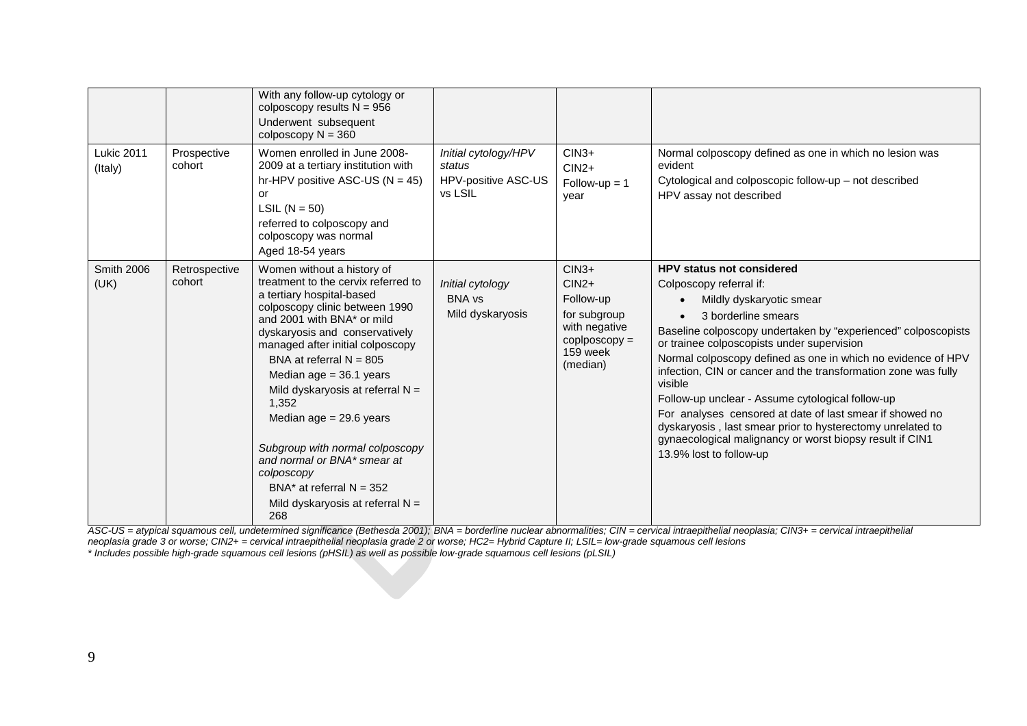| <b>Lukic 2011</b><br>(Italy) | Prospective<br>cohort   | With any follow-up cytology or<br>colposcopy results $N = 956$<br>Underwent subsequent<br>colposcopy $N = 360$<br>Women enrolled in June 2008-<br>2009 at a tertiary institution with<br>hr-HPV positive ASC-US ( $N = 45$ )<br>or<br>LSIL $(N = 50)$<br>referred to colposcopy and<br>colposcopy was normal<br>Aged 18-54 years                                                                                                                                                                                                      | Initial cytology/HPV<br>status<br>HPV-positive ASC-US<br>vs LSIL | $CIN3+$<br>$CIN2+$<br>$Follow-up = 1$<br>year                                                                            | Normal colposcopy defined as one in which no lesion was<br>evident<br>Cytological and colposcopic follow-up - not described<br>HPV assay not described                                                                                                                                                                                                                                                                                                                                                                                                                                                                                          |
|------------------------------|-------------------------|---------------------------------------------------------------------------------------------------------------------------------------------------------------------------------------------------------------------------------------------------------------------------------------------------------------------------------------------------------------------------------------------------------------------------------------------------------------------------------------------------------------------------------------|------------------------------------------------------------------|--------------------------------------------------------------------------------------------------------------------------|-------------------------------------------------------------------------------------------------------------------------------------------------------------------------------------------------------------------------------------------------------------------------------------------------------------------------------------------------------------------------------------------------------------------------------------------------------------------------------------------------------------------------------------------------------------------------------------------------------------------------------------------------|
| <b>Smith 2006</b><br>(UK)    | Retrospective<br>cohort | Women without a history of<br>treatment to the cervix referred to<br>a tertiary hospital-based<br>colposcopy clinic between 1990<br>and 2001 with BNA* or mild<br>dyskaryosis and conservatively<br>managed after initial colposcopy<br>BNA at referral $N = 805$<br>Median age $= 36.1$ years<br>Mild dyskaryosis at referral $N =$<br>1,352<br>Median age $= 29.6$ years<br>Subgroup with normal colposcopy<br>and normal or BNA* smear at<br>colposcopy<br>BNA* at referral $N = 352$<br>Mild dyskaryosis at referral $N =$<br>268 | Initial cytology<br><b>BNA vs</b><br>Mild dyskaryosis            | $CIN3+$<br>$CIN2+$<br>Follow-up<br>for subgroup<br>with negative<br>$\text{cop}$ coplposcopy $=$<br>159 week<br>(median) | <b>HPV status not considered</b><br>Colposcopy referral if:<br>Mildly dyskaryotic smear<br>3 borderline smears<br>Baseline colposcopy undertaken by "experienced" colposcopists<br>or trainee colposcopists under supervision<br>Normal colposcopy defined as one in which no evidence of HPV<br>infection, CIN or cancer and the transformation zone was fully<br>visible<br>Follow-up unclear - Assume cytological follow-up<br>For analyses censored at date of last smear if showed no<br>dyskaryosis, last smear prior to hysterectomy unrelated to<br>gynaecological malignancy or worst biopsy result if CIN1<br>13.9% lost to follow-up |

*ASC-US = atypical squamous cell, undetermined significance (Bethesda 2001); BNA = borderline nuclear abnormalities; CIN = cervical intraepithelial neoplasia; CIN3+ = cervical intraepithelial neoplasia grade 3 or worse; CIN2+ = cervical intraepithelial neoplasia grade 2 or worse; HC2= Hybrid Capture II; LSIL= low-grade squamous cell lesions \* Includes possible high-grade squamous cell lesions (pHSIL) as well as possible low-grade squamous cell lesions (pLSIL)*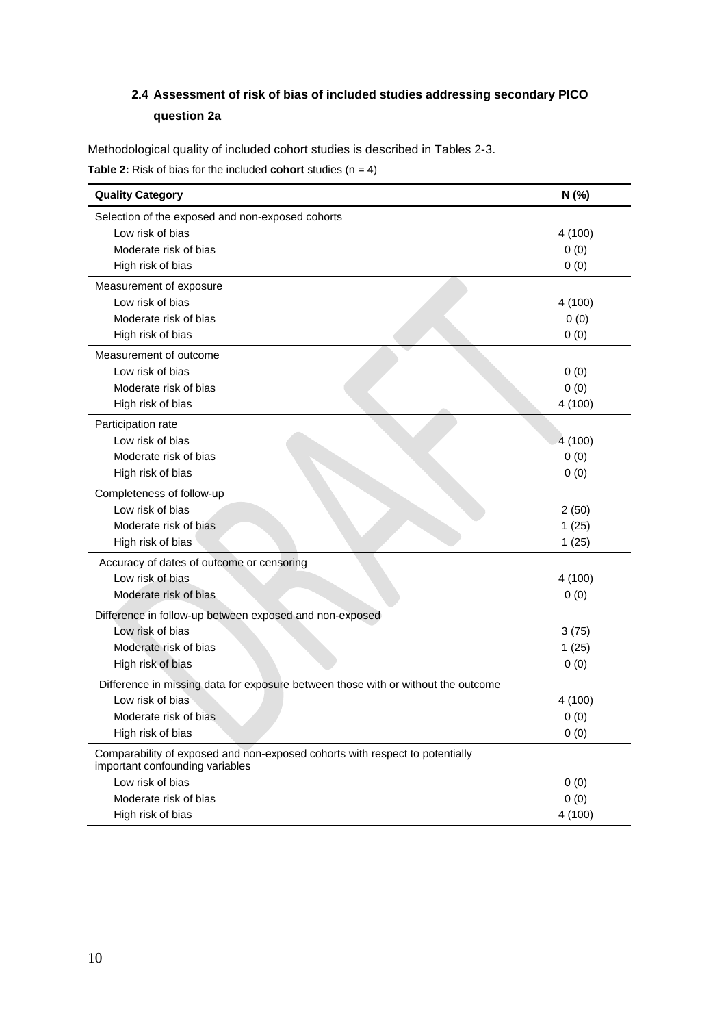# **2.4 Assessment of risk of bias of included studies addressing secondary PICO question 2a**

Methodological quality of included cohort studies is described in Tables 2-3.

**Table 2:** Risk of bias for the included **cohort** studies  $(n = 4)$ 

| <b>Quality Category</b>                                                                                         | N (%)   |
|-----------------------------------------------------------------------------------------------------------------|---------|
| Selection of the exposed and non-exposed cohorts                                                                |         |
| Low risk of bias                                                                                                | 4 (100) |
| Moderate risk of bias                                                                                           | 0(0)    |
| High risk of bias                                                                                               | 0(0)    |
| Measurement of exposure                                                                                         |         |
| Low risk of bias                                                                                                | 4 (100) |
| Moderate risk of bias                                                                                           | 0(0)    |
| High risk of bias                                                                                               | 0(0)    |
| Measurement of outcome                                                                                          |         |
| Low risk of bias                                                                                                | 0(0)    |
| Moderate risk of bias                                                                                           | 0(0)    |
| High risk of bias                                                                                               | 4 (100) |
| Participation rate                                                                                              |         |
| Low risk of bias                                                                                                | 4 (100) |
| Moderate risk of bias                                                                                           | 0(0)    |
| High risk of bias                                                                                               | 0(0)    |
| Completeness of follow-up                                                                                       |         |
| Low risk of bias                                                                                                | 2(50)   |
| Moderate risk of bias                                                                                           | 1(25)   |
| High risk of bias                                                                                               | 1(25)   |
| Accuracy of dates of outcome or censoring                                                                       |         |
| Low risk of bias                                                                                                | 4 (100) |
| Moderate risk of bias                                                                                           | 0(0)    |
| Difference in follow-up between exposed and non-exposed                                                         |         |
| Low risk of bias                                                                                                | 3(75)   |
| Moderate risk of bias                                                                                           | 1(25)   |
| High risk of bias                                                                                               | 0(0)    |
| Difference in missing data for exposure between those with or without the outcome                               |         |
| Low risk of bias                                                                                                | 4 (100) |
| Moderate risk of bias                                                                                           | 0(0)    |
| High risk of bias                                                                                               | 0(0)    |
| Comparability of exposed and non-exposed cohorts with respect to potentially<br>important confounding variables |         |
| Low risk of bias                                                                                                | 0(0)    |
| Moderate risk of bias                                                                                           | 0(0)    |
| High risk of bias                                                                                               | 4 (100) |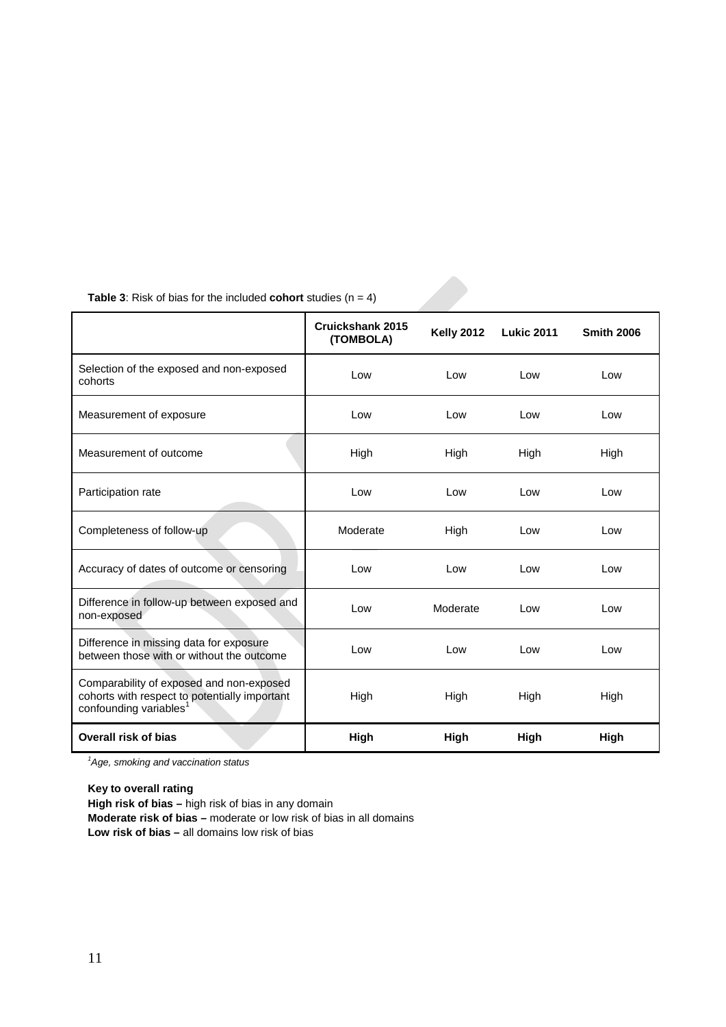|                                                                                                                                 | Cruickshank 2015<br>(TOMBOLA) | <b>Kelly 2012</b> | <b>Lukic 2011</b> | <b>Smith 2006</b> |
|---------------------------------------------------------------------------------------------------------------------------------|-------------------------------|-------------------|-------------------|-------------------|
| Selection of the exposed and non-exposed<br>cohorts                                                                             | Low                           | Low               | Low               | Low               |
| Measurement of exposure                                                                                                         | Low                           | Low               | Low               | Low               |
| Measurement of outcome                                                                                                          | High                          | High              | High              | High              |
| Participation rate                                                                                                              | Low                           | Low               | Low               | Low               |
| Completeness of follow-up                                                                                                       | Moderate                      | High              | Low               | Low               |
| Accuracy of dates of outcome or censoring                                                                                       | Low                           | Low               | Low               | Low               |
| Difference in follow-up between exposed and<br>non-exposed                                                                      | Low                           | Moderate          | Low               | Low               |
| Difference in missing data for exposure<br>between those with or without the outcome                                            | Low                           | Low               | Low               | Low               |
| Comparability of exposed and non-exposed<br>cohorts with respect to potentially important<br>confounding variables <sup>1</sup> | High                          | High              | High              | High              |
| Overall risk of bias                                                                                                            | High                          | High              | High              | High              |

**Table 3:** Risk of bias for the included **cohort** studies  $(n = 4)$ 

*1 Age, smoking and vaccination status*

**Key to overall rating High risk of bias –** high risk of bias in any domain **Moderate risk of bias –** moderate or low risk of bias in all domains **Low risk of bias –** all domains low risk of bias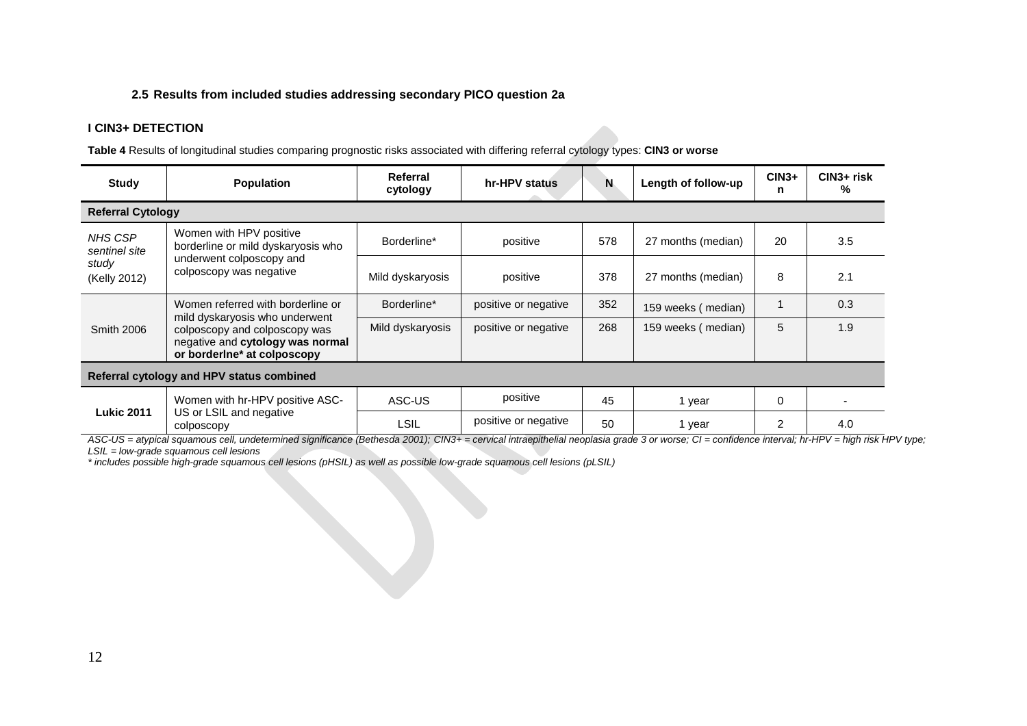## **2.5 Results from included studies addressing secondary PICO question 2a**

## **I CIN3+ DETECTION**

**Table 4** Results of longitudinal studies comparing prognostic risks associated with differing referral cytology types: **CIN3 or worse**

| <b>Study</b>                                                                                                                                            | <b>Population</b>                                                                                                    | Referral<br>cytology | hr-HPV status        | N   | Length of follow-up | $CIN3+$<br>n | CIN3+ risk<br>% |  |  |  |
|---------------------------------------------------------------------------------------------------------------------------------------------------------|----------------------------------------------------------------------------------------------------------------------|----------------------|----------------------|-----|---------------------|--------------|-----------------|--|--|--|
|                                                                                                                                                         | <b>Referral Cytology</b>                                                                                             |                      |                      |     |                     |              |                 |  |  |  |
| <b>NHS CSP</b><br>sentinel site<br>study<br>(Kelly 2012)                                                                                                | Women with HPV positive<br>borderline or mild dyskaryosis who<br>underwent colposcopy and<br>colposcopy was negative | Borderline*          | positive             | 578 | 27 months (median)  | 20           | 3.5             |  |  |  |
|                                                                                                                                                         |                                                                                                                      | Mild dyskaryosis     | positive             | 378 | 27 months (median)  | 8            | 2.1             |  |  |  |
|                                                                                                                                                         | Women referred with borderline or                                                                                    | Borderline*          | positive or negative | 352 | 159 weeks (median)  |              | 0.3             |  |  |  |
| mild dyskaryosis who underwent<br><b>Smith 2006</b><br>colposcopy and colposcopy was<br>negative and cytology was normal<br>or borderine* at colposcopy |                                                                                                                      | Mild dyskaryosis     | positive or negative | 268 | 159 weeks (median)  | 5            | 1.9             |  |  |  |
| Referral cytology and HPV status combined                                                                                                               |                                                                                                                      |                      |                      |     |                     |              |                 |  |  |  |
|                                                                                                                                                         | Women with hr-HPV positive ASC-                                                                                      | ASC-US               | positive             | 45  | 1 year              | $\Omega$     |                 |  |  |  |
| <b>Lukic 2011</b>                                                                                                                                       | US or LSIL and negative<br>colposcopy                                                                                | LSIL                 | positive or negative | 50  | 1 year              | 2            | 4.0             |  |  |  |

*ASC-US = atypical squamous cell, undetermined significance (Bethesda 2001); CIN3+ = cervical intraepithelial neoplasia grade 3 or worse; CI = confidence interval; hr-HPV = high risk HPV type; LSIL = low-grade squamous cell lesions* 

*\* includes possible high-grade squamous cell lesions (pHSIL) as well as possible low-grade squamous cell lesions (pLSIL)*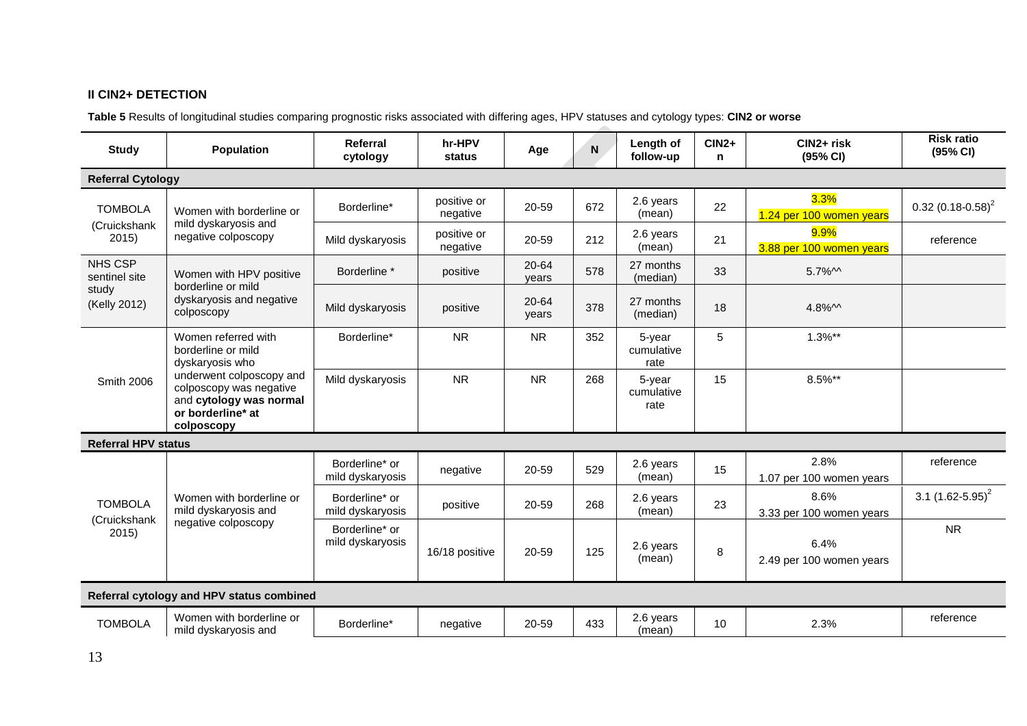# **II CIN2+ DETECTION**

**Table 5** Results of longitudinal studies comparing prognostic risks associated with differing ages, HPV statuses and cytology types: **CIN2 or worse**

| <b>Study</b>                            | <b>Population</b>                                                                                                                                                                 | Referral<br>cytology               | hr-HPV<br>status        | Age            | N   | Length of<br>follow-up       | $CIN2+$<br>n | CIN2+ risk<br>(95% CI)           | <b>Risk ratio</b><br>(95% CI)   |
|-----------------------------------------|-----------------------------------------------------------------------------------------------------------------------------------------------------------------------------------|------------------------------------|-------------------------|----------------|-----|------------------------------|--------------|----------------------------------|---------------------------------|
| <b>Referral Cytology</b>                |                                                                                                                                                                                   |                                    |                         |                |     |                              |              |                                  |                                 |
| <b>TOMBOLA</b>                          | Women with borderline or                                                                                                                                                          | Borderline*                        | positive or<br>negative | 20-59          | 672 | 2.6 years<br>(mean)          | 22           | 3.3%<br>1.24 per 100 women years | $0.32$ (0.18-0.58) <sup>2</sup> |
| (Cruickshank<br>2015)                   | mild dyskaryosis and<br>negative colposcopy                                                                                                                                       | Mild dyskaryosis                   | positive or<br>negative | 20-59          | 212 | 2.6 years<br>(mean)          | 21           | 9.9%<br>3.88 per 100 women years | reference                       |
| <b>NHS CSP</b><br>sentinel site         | Women with HPV positive<br>borderline or mild                                                                                                                                     | Borderline *                       | positive                | 20-64<br>years | 578 | 27 months<br>(median)        | 33           | $5.7\%$ M                        |                                 |
| study<br>(Kelly 2012)                   | dyskaryosis and negative<br>colposcopy                                                                                                                                            | Mild dyskaryosis                   | positive                | 20-64<br>years | 378 | 27 months<br>(median)        | 18           | $4.8\%$ M                        |                                 |
| Smith 2006                              | Women referred with<br>borderline or mild<br>dyskaryosis who<br>underwent colposcopy and<br>colposcopy was negative<br>and cytology was normal<br>or borderline* at<br>colposcopy | Borderline*                        | <b>NR</b>               | <b>NR</b>      | 352 | 5-year<br>cumulative<br>rate | 5            | $1.3%$ **                        |                                 |
|                                         |                                                                                                                                                                                   | Mild dyskaryosis                   | <b>NR</b>               | <b>NR</b>      | 268 | 5-year<br>cumulative<br>rate | 15           | 8.5%**                           |                                 |
| <b>Referral HPV status</b>              |                                                                                                                                                                                   |                                    |                         |                |     |                              |              |                                  |                                 |
|                                         | Women with borderline or<br>mild dyskaryosis and<br>negative colposcopy                                                                                                           | Borderline* or<br>mild dyskaryosis | negative                | 20-59          | 529 | 2.6 years<br>(mean)          | 15           | 2.8%<br>1.07 per 100 women years | reference                       |
| <b>TOMBOLA</b><br>(Cruickshank<br>2015) |                                                                                                                                                                                   | Borderline* or<br>mild dyskaryosis | positive                | 20-59          | 268 | 2.6 years<br>(mean)          | 23           | 8.6%<br>3.33 per 100 women years | 3.1 $(1.62 - 5.95)^2$           |
|                                         |                                                                                                                                                                                   | Borderline* or<br>mild dyskaryosis | 16/18 positive          | 20-59          | 125 | 2.6 years<br>(mean)          | 8            | 6.4%<br>2.49 per 100 women years | <b>NR</b>                       |
|                                         | Referral cytology and HPV status combined                                                                                                                                         |                                    |                         |                |     |                              |              |                                  |                                 |
| <b>TOMBOLA</b>                          | Women with borderline or<br>mild dyskaryosis and                                                                                                                                  | Borderline*                        | negative                | 20-59          | 433 | 2.6 years<br>(mean)          | 10           | 2.3%                             | reference                       |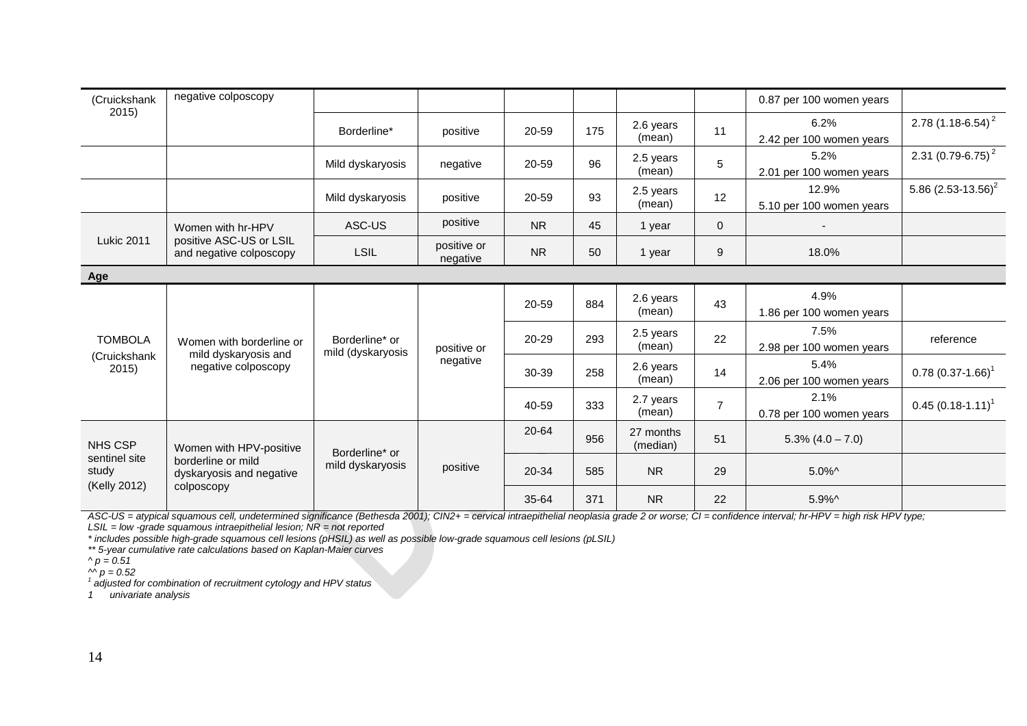| (Cruickshank                                             | negative colposcopy                                                                     |                                     |                         |           |       |                       |                     | 0.87 per 100 women years          |                                  |
|----------------------------------------------------------|-----------------------------------------------------------------------------------------|-------------------------------------|-------------------------|-----------|-------|-----------------------|---------------------|-----------------------------------|----------------------------------|
| 2015)                                                    |                                                                                         | Borderline*                         | positive                | 20-59     | 175   | 2.6 years<br>(mean)   | 11                  | 6.2%<br>2.42 per 100 women years  | 2.78 $(1.18 - 6.54)^2$           |
|                                                          |                                                                                         | Mild dyskaryosis                    | negative                | 20-59     | 96    | 2.5 years<br>(mean)   | 5                   | 5.2%<br>2.01 per 100 women years  | 2.31 $(0.79 - 6.75)^2$           |
|                                                          |                                                                                         | Mild dyskaryosis                    | positive                | 20-59     | 93    | 2.5 years<br>(mean)   | 12                  | 12.9%<br>5.10 per 100 women years | 5.86 $(2.53 - 13.56)^2$          |
|                                                          | Women with hr-HPV                                                                       | ASC-US                              | positive                | <b>NR</b> | 45    | 1 year                | $\mathbf 0$         |                                   |                                  |
| <b>Lukic 2011</b>                                        | positive ASC-US or LSIL<br>and negative colposcopy                                      | <b>LSIL</b>                         | positive or<br>negative | <b>NR</b> | 50    | 1 year                | 9                   | 18.0%                             |                                  |
| Age                                                      |                                                                                         |                                     |                         |           |       |                       |                     |                                   |                                  |
|                                                          | Women with borderline or<br>mild dyskaryosis and<br>negative colposcopy                 | Borderline* or<br>mild (dyskaryosis | positive or<br>negative | 20-59     | 884   | 2.6 years<br>(mean)   | 43                  | 4.9%<br>1.86 per 100 women years  |                                  |
| <b>TOMBOLA</b>                                           |                                                                                         |                                     |                         | 20-29     | 293   | 2.5 years<br>(mean)   | 22                  | 7.5%<br>2.98 per 100 women years  | reference                        |
| (Cruickshank<br>2015)                                    |                                                                                         |                                     |                         |           | 30-39 | 258                   | 2.6 years<br>(mean) | 14                                | 5.4%<br>2.06 per 100 women years |
|                                                          |                                                                                         |                                     |                         | 40-59     | 333   | 2.7 years<br>(mean)   | $\overline{7}$      | 2.1%<br>0.78 per 100 women years  | $0.45(0.18-1.11)^1$              |
| <b>NHS CSP</b><br>sentinel site<br>study<br>(Kelly 2012) | Women with HPV-positive<br>borderline or mild<br>dyskaryosis and negative<br>colposcopy | Borderline* or<br>mild dyskaryosis  | positive                | 20-64     | 956   | 27 months<br>(median) | 51                  | $5.3\% (4.0 - 7.0)$               |                                  |
|                                                          |                                                                                         |                                     |                         | 20-34     | 585   | <b>NR</b>             | 29                  | $5.0\%$                           |                                  |
|                                                          |                                                                                         |                                     |                         | 35-64     | 371   | <b>NR</b>             | 22                  | $5.9\%$                           |                                  |

*ASC-US = atypical squamous cell, undetermined significance (Bethesda 2001); CIN2+ = cervical intraepithelial neoplasia grade 2 or worse; CI = confidence interval; hr-HPV = high risk HPV type; LSIL = low -grade squamous intraepithelial lesion; NR = not reported*

*\* includes possible high-grade squamous cell lesions (pHSIL) as well as possible low-grade squamous cell lesions (pLSIL)*

*\*\* 5-year cumulative rate calculations based on Kaplan-Maier curves* 

 $\wedge p = 0.51$ 

 $\vec{P} = 0.52$ 

*<sup>1</sup> adjusted for combination of recruitment cytology and HPV status*

*1 univariate analysis*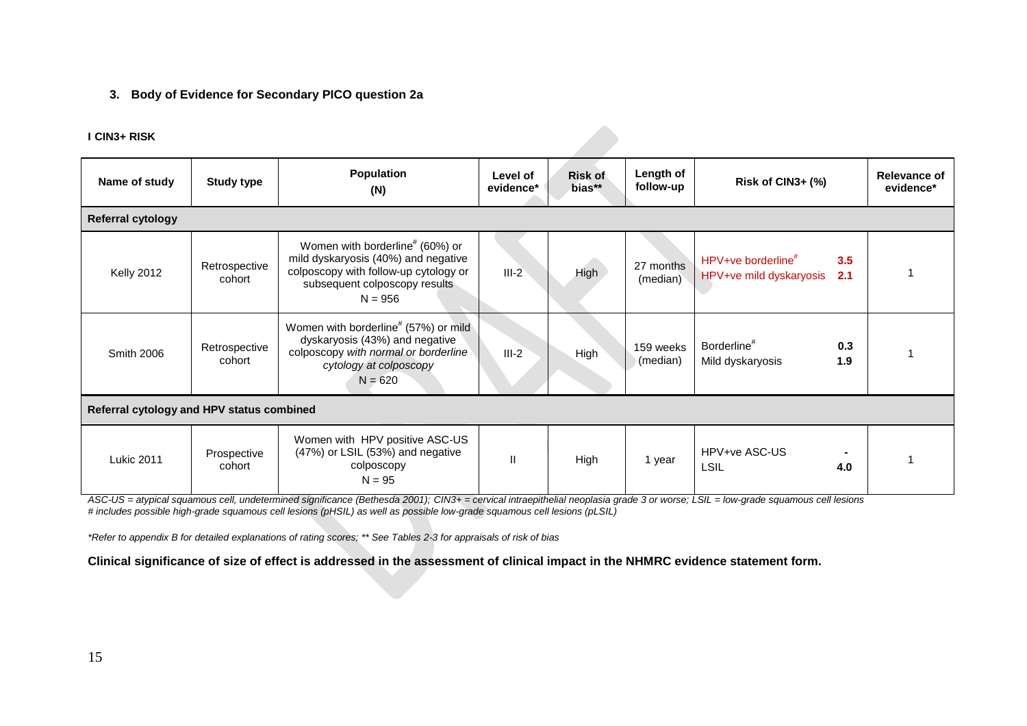## **3. Body of Evidence for Secondary PICO question 2a**

#### **I CIN3+ RISK**

| Name of study                             | Population<br><b>Study type</b><br>(N) |                                                                                                                                                                           | Level of<br>evidence* | Length of<br><b>Risk of</b><br>follow-up<br>bias** |                       | Risk of CIN3+ (%)                                                |            | <b>Relevance of</b><br>evidence* |
|-------------------------------------------|----------------------------------------|---------------------------------------------------------------------------------------------------------------------------------------------------------------------------|-----------------------|----------------------------------------------------|-----------------------|------------------------------------------------------------------|------------|----------------------------------|
| <b>Referral cytology</b>                  |                                        |                                                                                                                                                                           |                       |                                                    |                       |                                                                  |            |                                  |
| Kelly 2012                                | Retrospective<br>cohort                | Women with borderline <sup>#</sup> (60%) or<br>mild dyskaryosis (40%) and negative<br>colposcopy with follow-up cytology or<br>subsequent colposcopy results<br>$N = 956$ | $III-2$               | High                                               | 27 months<br>(median) | HPV+ve borderline <sup>#</sup><br>HPV+ve mild dyskaryosis<br>2.1 | 3.5        |                                  |
| <b>Smith 2006</b>                         | Retrospective<br>cohort                | Women with borderline <sup>#</sup> (57%) or mild<br>dyskaryosis (43%) and negative<br>colposcopy with normal or borderline<br>cytology at colposcopy<br>$N = 620$         | $III-2$               | High                                               | 159 weeks<br>(median) | Borderline <sup>#</sup><br>Mild dyskaryosis                      | 0.3<br>1.9 |                                  |
| Referral cytology and HPV status combined |                                        |                                                                                                                                                                           |                       |                                                    |                       |                                                                  |            |                                  |
| <b>Lukic 2011</b>                         | Prospective<br>cohort                  | Women with HPV positive ASC-US<br>(47%) or LSIL (53%) and negative<br>colposcopy<br>$N = 95$                                                                              | $\mathbf{I}$          | High                                               | 1 year                | HPV+ve ASC-US<br><b>LSIL</b><br>4.0                              |            |                                  |

*ASC-US = atypical squamous cell, undetermined significance (Bethesda 2001); CIN3+ = cervical intraepithelial neoplasia grade 3 or worse; LSIL = low-grade squamous cell lesions # includes possible high-grade squamous cell lesions (pHSIL) as well as possible low-grade squamous cell lesions (pLSIL)*

*\*Refer to appendix B for detailed explanations of rating scores; \*\* See Tables 2-3 for appraisals of risk of bias*

**Clinical significance of size of effect is addressed in the assessment of clinical impact in the NHMRC evidence statement form.**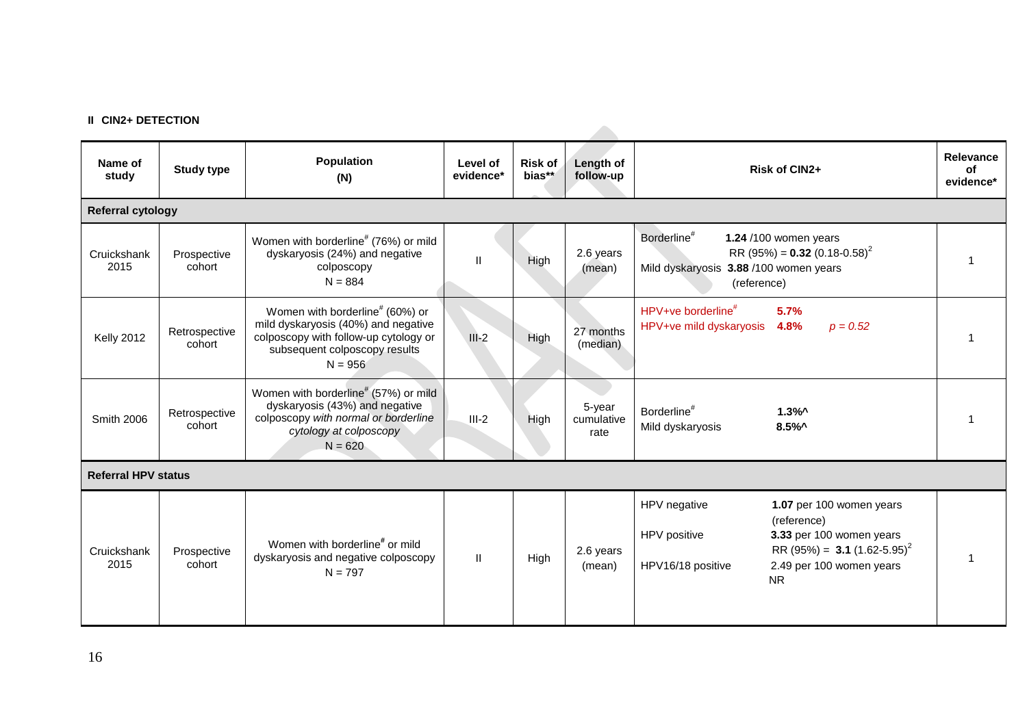#### **II CIN2+ DETECTION**

| Name of<br>study           | <b>Study type</b>       | Population<br>(N)                                                                                                                                                         | Level of<br>evidence* | <b>Risk of</b><br>bias** | Length of<br>follow-up       | Risk of CIN2+                                                                                                                                                                                                | <b>Relevance</b><br>of<br>evidence* |
|----------------------------|-------------------------|---------------------------------------------------------------------------------------------------------------------------------------------------------------------------|-----------------------|--------------------------|------------------------------|--------------------------------------------------------------------------------------------------------------------------------------------------------------------------------------------------------------|-------------------------------------|
| <b>Referral cytology</b>   |                         |                                                                                                                                                                           |                       |                          |                              |                                                                                                                                                                                                              |                                     |
| Cruickshank<br>2015        | Prospective<br>cohort   | Women with borderline <sup>#</sup> (76%) or mild<br>dyskaryosis (24%) and negative<br>colposcopy<br>$N = 884$                                                             | $\mathbf{H}$          | High                     | 2.6 years<br>(mean)          | Borderline <sup>#</sup><br>1.24 /100 women years<br>RR (95%) = $0.32$ (0.18-0.58) <sup>2</sup><br>Mild dyskaryosis 3.88 /100 women years<br>(reference)                                                      |                                     |
| <b>Kelly 2012</b>          | Retrospective<br>cohort | Women with borderline <sup>#</sup> (60%) or<br>mild dyskaryosis (40%) and negative<br>colposcopy with follow-up cytology or<br>subsequent colposcopy results<br>$N = 956$ | $III-2$               | High                     | 27 months<br>(median)        | HPV+ve borderline <sup>#</sup><br>5.7%<br>HPV+ve mild dyskaryosis<br>4.8%<br>$p = 0.52$                                                                                                                      |                                     |
| <b>Smith 2006</b>          | Retrospective<br>cohort | Women with borderline <sup>#</sup> (57%) or mild<br>dyskaryosis (43%) and negative<br>colposcopy with normal or borderline<br>cytology at colposcopy<br>$N = 620$         | $III-2$               | High                     | 5-year<br>cumulative<br>rate | Borderline <sup>#</sup><br>$1.3\%$ ^<br>Mild dyskaryosis<br>$8.5\%$                                                                                                                                          |                                     |
| <b>Referral HPV status</b> |                         |                                                                                                                                                                           |                       |                          |                              |                                                                                                                                                                                                              |                                     |
| Cruickshank<br>2015        | Prospective<br>cohort   | Women with borderline <sup>#</sup> or mild<br>dyskaryosis and negative colposcopy<br>$N = 797$                                                                            | $\mathbf{H}$          | High                     | 2.6 years<br>(mean)          | HPV negative<br>1.07 per 100 women years<br>(reference)<br>HPV positive<br>3.33 per 100 women years<br>RR (95%) = 3.1 (1.62-5.95) <sup>2</sup><br>HPV16/18 positive<br>2.49 per 100 women years<br><b>NR</b> |                                     |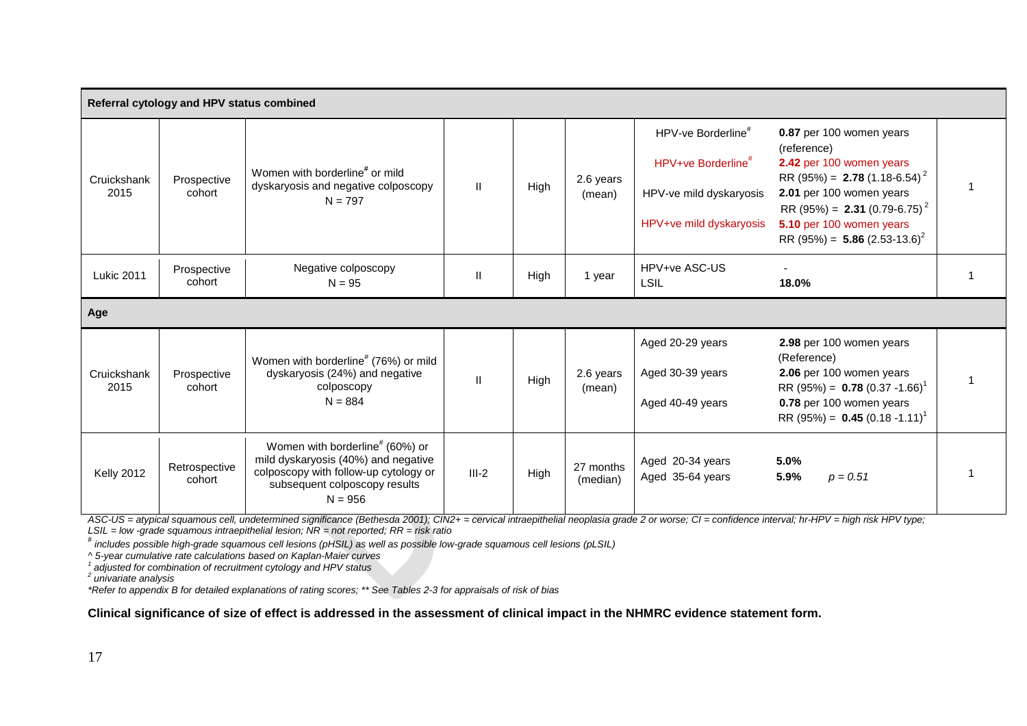|                     | Referral cytology and HPV status combined |                                                                                                                                                                           |               |      |                       |                                                                                                                        |                                                                                                                                                                                                                                                                               |  |
|---------------------|-------------------------------------------|---------------------------------------------------------------------------------------------------------------------------------------------------------------------------|---------------|------|-----------------------|------------------------------------------------------------------------------------------------------------------------|-------------------------------------------------------------------------------------------------------------------------------------------------------------------------------------------------------------------------------------------------------------------------------|--|
| Cruickshank<br>2015 | Prospective<br>cohort                     | Women with borderline <sup>#</sup> or mild<br>dyskaryosis and negative colposcopy<br>$N = 797$                                                                            | $\mathbf{H}$  | High | 2.6 years<br>(mean)   | HPV-ve Borderline <sup>#</sup><br>HPV+ve Borderline <sup>#</sup><br>HPV-ve mild dyskaryosis<br>HPV+ve mild dyskaryosis | 0.87 per 100 women years<br>(reference)<br>2.42 per 100 women years<br>RR (95%) = <b>2.78</b> (1.18-6.54) <sup>2</sup><br>2.01 per 100 women years<br>RR (95%) = <b>2.31</b> (0.79-6.75) <sup>2</sup><br>5.10 per 100 women years<br>RR (95%) = 5.86 (2.53-13.6) <sup>2</sup> |  |
| <b>Lukic 2011</b>   | Prospective<br>cohort                     | Negative colposcopy<br>$N = 95$                                                                                                                                           | $\mathbf{II}$ | High | 1 year                | HPV+ve ASC-US<br><b>LSIL</b>                                                                                           | 18.0%                                                                                                                                                                                                                                                                         |  |
| Age                 |                                           |                                                                                                                                                                           |               |      |                       |                                                                                                                        |                                                                                                                                                                                                                                                                               |  |
| Cruickshank<br>2015 | Prospective<br>cohort                     | Women with borderline <sup>#</sup> (76%) or mild<br>dyskaryosis (24%) and negative<br>colposcopy<br>$N = 884$                                                             | $\mathbf{II}$ | High | 2.6 years<br>(mean)   | Aged 20-29 years<br>Aged 30-39 years<br>Aged 40-49 years                                                               | 2.98 per 100 women years<br>(Reference)<br>2.06 per 100 women years<br>RR (95%) = $0.78$ (0.37 -1.66) <sup>1</sup><br>0.78 per 100 women years<br>RR (95%) = $0.45$ (0.18 -1.11) <sup>1</sup>                                                                                 |  |
| <b>Kelly 2012</b>   | Retrospective<br>cohort                   | Women with borderline <sup>#</sup> (60%) or<br>mild dyskaryosis (40%) and negative<br>colposcopy with follow-up cytology or<br>subsequent colposcopy results<br>$N = 956$ | $III-2$       | High | 27 months<br>(median) | Aged 20-34 years<br>Aged 35-64 years                                                                                   | 5.0%<br>5.9%<br>$p = 0.51$                                                                                                                                                                                                                                                    |  |

ASC-US = atypical squamous cell, undetermined significance (Bethesda 2001); CIN2+ = cervical intraepithelial neoplasia grade 2 or worse; CI = confidence interval; hr-HPV = high risk HPV type;<br>LSIL = low -grade squamous int

LSIL = low -grade squamous intraepithelial lesion; NR = not reported; RR = risk ratio<br><sup>#</sup> includes possible high-grade squamous cell lesions (pHSIL) as well as possible low-grade squamous cell lesions (pLSIL)

*^ 5-year cumulative rate calculations based on Kaplan-Maier curves 1 adjusted for combination of recruitment cytology and HPV status*

*<sup>2</sup> univariate analysis*

*\*Refer to appendix B for detailed explanations of rating scores; \*\* See Tables 2-3 for appraisals of risk of bias*

#### **Clinical significance of size of effect is addressed in the assessment of clinical impact in the NHMRC evidence statement form.**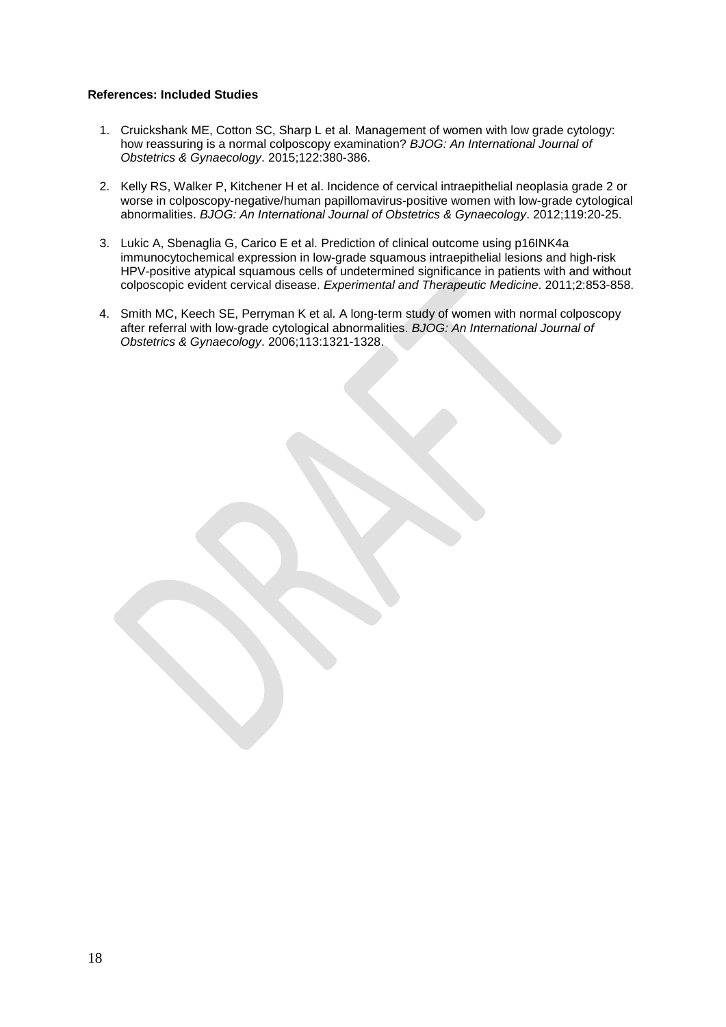#### **References: Included Studies**

- 1. Cruickshank ME, Cotton SC, Sharp L et al. Management of women with low grade cytology: how reassuring is a normal colposcopy examination? *BJOG: An International Journal of Obstetrics & Gynaecology*. 2015;122:380-386.
- 2. Kelly RS, Walker P, Kitchener H et al. Incidence of cervical intraepithelial neoplasia grade 2 or worse in colposcopy-negative/human papillomavirus-positive women with low-grade cytological abnormalities. *BJOG: An International Journal of Obstetrics & Gynaecology*. 2012;119:20-25.
- 3. Lukic A, Sbenaglia G, Carico E et al. Prediction of clinical outcome using p16INK4a immunocytochemical expression in low-grade squamous intraepithelial lesions and high-risk HPV-positive atypical squamous cells of undetermined significance in patients with and without colposcopic evident cervical disease. *Experimental and Therapeutic Medicine*. 2011;2:853-858.
- 4. Smith MC, Keech SE, Perryman K et al. A long-term study of women with normal colposcopy after referral with low-grade cytological abnormalities. *BJOG: An International Journal of Obstetrics & Gynaecology*. 2006;113:1321-1328.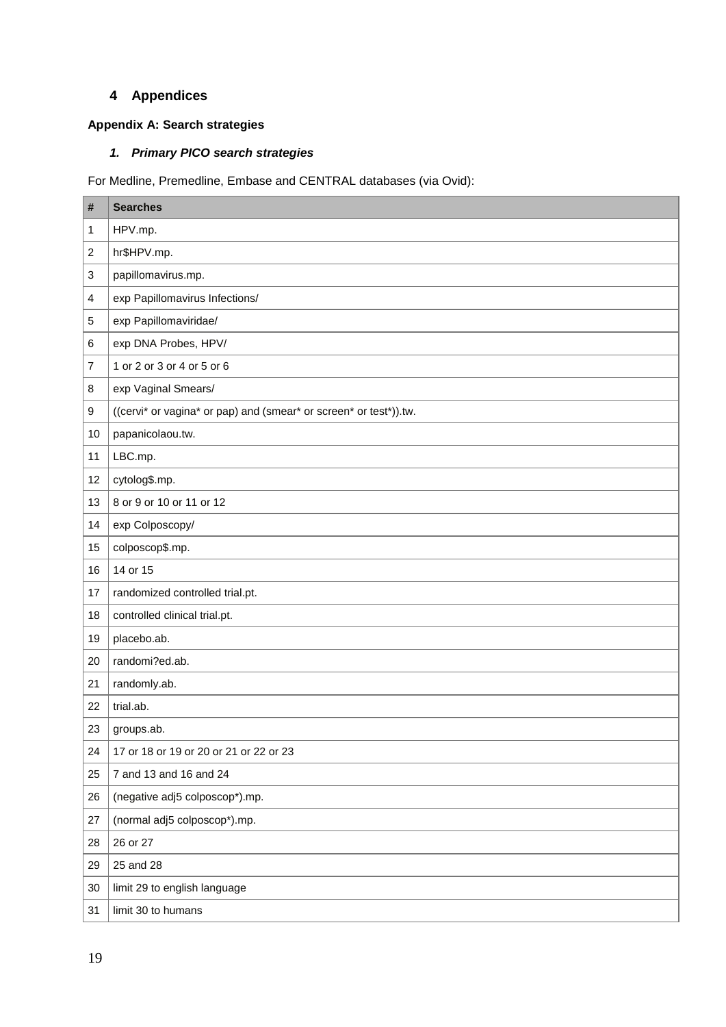# **Appendices**

# **Appendix A: Search strategies**

# *1. Primary PICO search strategies*

For Medline, Premedline, Embase and CENTRAL databases (via Ovid):

| #      | <b>Searches</b>                                                   |
|--------|-------------------------------------------------------------------|
| 1      | HPV.mp.                                                           |
| 2      | hr\$HPV.mp.                                                       |
| 3      | papillomavirus.mp.                                                |
| 4      | exp Papillomavirus Infections/                                    |
| 5      | exp Papillomaviridae/                                             |
| 6      | exp DNA Probes, HPV/                                              |
| 7      | 1 or 2 or 3 or 4 or 5 or 6                                        |
| 8      | exp Vaginal Smears/                                               |
| 9      | ((cervi* or vagina* or pap) and (smear* or screen* or test*)).tw. |
| 10     | papanicolaou.tw.                                                  |
| 11     | LBC.mp.                                                           |
| 12     | cytolog\$.mp.                                                     |
| 13     | 8 or 9 or 10 or 11 or 12                                          |
| 14     | exp Colposcopy/                                                   |
| 15     | colposcop\$.mp.                                                   |
| 16     | 14 or 15                                                          |
| 17     | randomized controlled trial.pt.                                   |
| 18     | controlled clinical trial.pt.                                     |
| 19     | placebo.ab.                                                       |
| 20     | randomi?ed.ab.                                                    |
| 21     | randomly.ab.                                                      |
| 22     | trial.ab.                                                         |
| 23     | groups.ab.                                                        |
| 24     | 17 or 18 or 19 or 20 or 21 or 22 or 23                            |
| 25     | 7 and 13 and 16 and 24                                            |
| 26     | (negative adj5 colposcop*).mp.                                    |
| 27     | (normal adj5 colposcop*).mp.                                      |
| 28     | 26 or 27                                                          |
| 29     | 25 and 28                                                         |
| $30\,$ | limit 29 to english language                                      |
| 31     | limit 30 to humans                                                |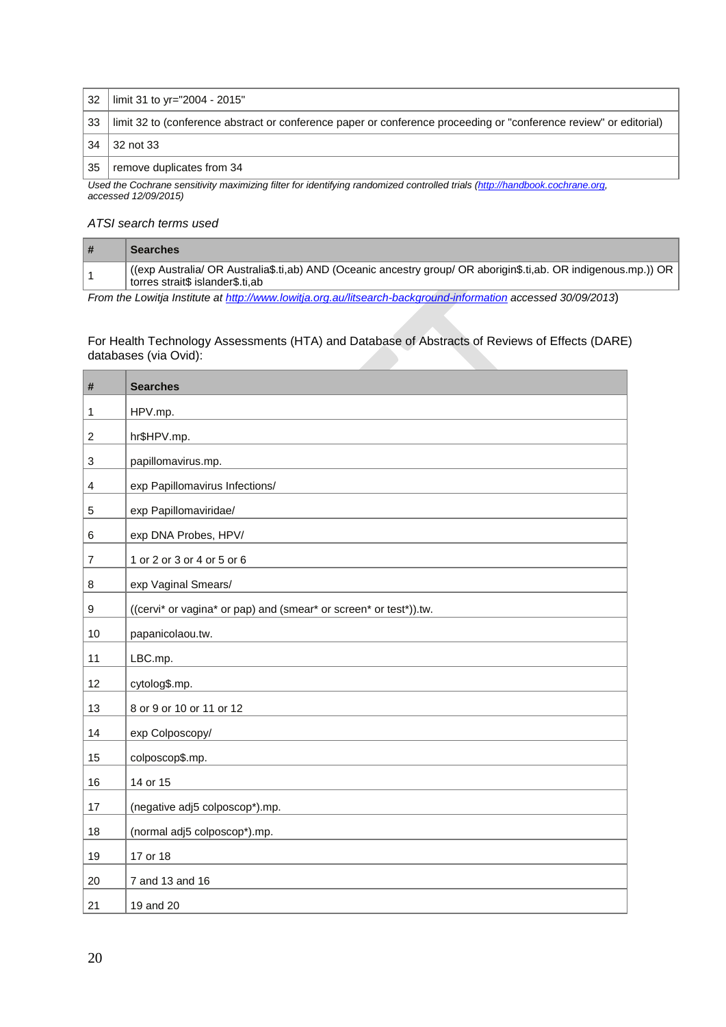| 32 <sup>1</sup> | l limit 31 to yr="2004 - 2015"                                                                                     |
|-----------------|--------------------------------------------------------------------------------------------------------------------|
| 33 <sup>1</sup> | limit 32 to (conference abstract or conference paper or conference proceeding or "conference review" or editorial) |
| 34              | $\vert$ 32 not 33                                                                                                  |
| 35              | remove duplicates from 34                                                                                          |

Used the Cochrane sensitivity maximizing filter for identifying randomized controlled trials [\(http://handbook.cochrane.org,](http://handbook.cochrane.org/) *accessed 12/09/2015)* 

### *ATSI search terms used*

| <b>Searches</b>                                                                                                                                    |
|----------------------------------------------------------------------------------------------------------------------------------------------------|
| (exp Australia/ OR Australia\$.ti,ab) AND (Oceanic ancestry group/ OR aborigin\$.ti,ab. OR indigenous.mp.)) OR<br>torres strait\$ islander\$.ti,ab |

*From the Lowitja Institute at<http://www.lowitja.org.au/litsearch-background-information> accessed 30/09/2013*)

For Health Technology Assessments (HTA) and Database of Abstracts of Reviews of Effects (DARE) databases (via Ovid):

| $\#$           | <b>Searches</b>                                                   |
|----------------|-------------------------------------------------------------------|
| $\mathbf{1}$   | HPV.mp.                                                           |
| $\overline{c}$ | hr\$HPV.mp.                                                       |
| 3              | papillomavirus.mp.                                                |
| $\overline{4}$ | exp Papillomavirus Infections/                                    |
| 5              | exp Papillomaviridae/                                             |
| 6              | exp DNA Probes, HPV/                                              |
| $\overline{7}$ | 1 or 2 or 3 or 4 or 5 or 6                                        |
| 8              | exp Vaginal Smears/                                               |
| $9\,$          | ((cervi* or vagina* or pap) and (smear* or screen* or test*)).tw. |
| 10             | papanicolaou.tw.                                                  |
| 11             | LBC.mp.                                                           |
| 12             | cytolog\$.mp.                                                     |
| 13             | 8 or 9 or 10 or 11 or 12                                          |
| 14             | exp Colposcopy/                                                   |
| 15             | colposcop\$.mp.                                                   |
| 16             | 14 or 15                                                          |
| 17             | (negative adj5 colposcop*).mp.                                    |
| 18             | (normal adj5 colposcop*).mp.                                      |
| 19             | 17 or 18                                                          |
| 20             | 7 and 13 and 16                                                   |
| 21             | 19 and 20                                                         |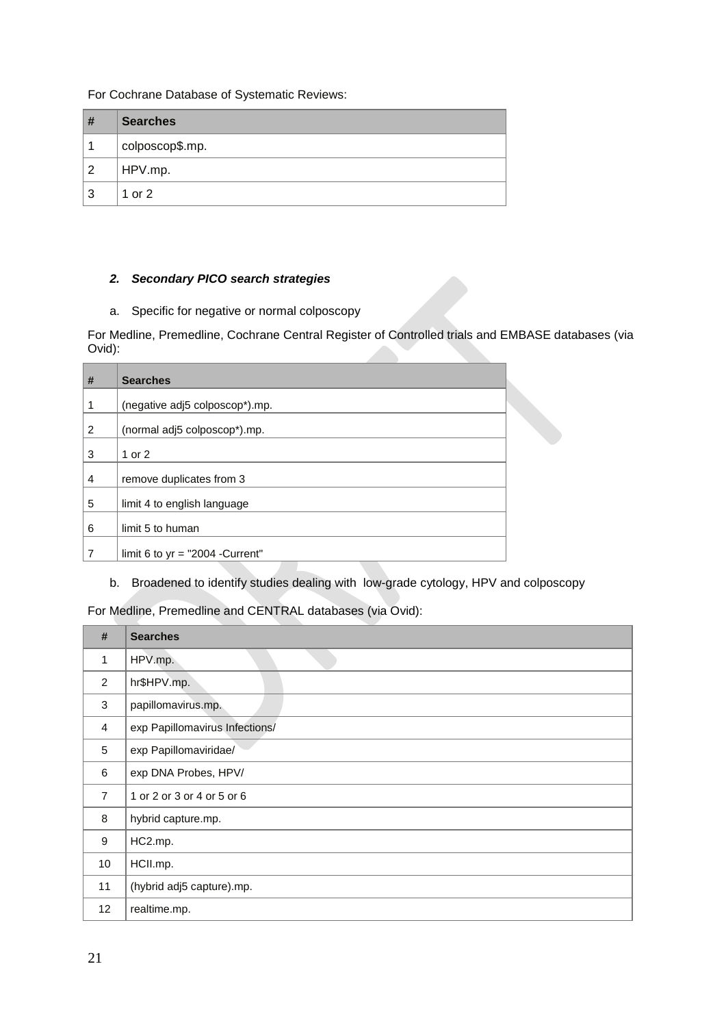For Cochrane Database of Systematic Reviews:

| #              | <b>Searches</b> |
|----------------|-----------------|
| 1              | colposcop\$.mp. |
| $\overline{2}$ | HPV.mp.         |
| 3              | 1 or 2          |

## *2. Secondary PICO search strategies*

a. Specific for negative or normal colposcopy

For Medline, Premedline, Cochrane Central Register of Controlled trials and EMBASE databases (via Ovid):

| # | <b>Searches</b>                    |  |
|---|------------------------------------|--|
| 1 | (negative adj5 colposcop*).mp.     |  |
| 2 | (normal adj5 colposcop*).mp.       |  |
| 3 | 1 or $2$                           |  |
| 4 | remove duplicates from 3           |  |
| 5 | limit 4 to english language        |  |
| 6 | limit 5 to human                   |  |
| 7 | limit 6 to $yr = "2004 - Current"$ |  |

b. Broadened to identify studies dealing with low-grade cytology, HPV and colposcopy

For Medline, Premedline and CENTRAL databases (via Ovid):

| #              | <b>Searches</b>                |
|----------------|--------------------------------|
| 1              | HPV.mp.                        |
| 2              | hr\$HPV.mp.                    |
| 3              | papillomavirus.mp.             |
| $\overline{4}$ | exp Papillomavirus Infections/ |
| 5              | exp Papillomaviridae/          |
| 6              | exp DNA Probes, HPV/           |
| $\overline{7}$ | 1 or 2 or 3 or 4 or 5 or 6     |
| 8              | hybrid capture.mp.             |
| 9              | HC2.mp.                        |
| 10             | HCII.mp.                       |
| 11             | (hybrid adj5 capture).mp.      |
| 12             | realtime.mp.                   |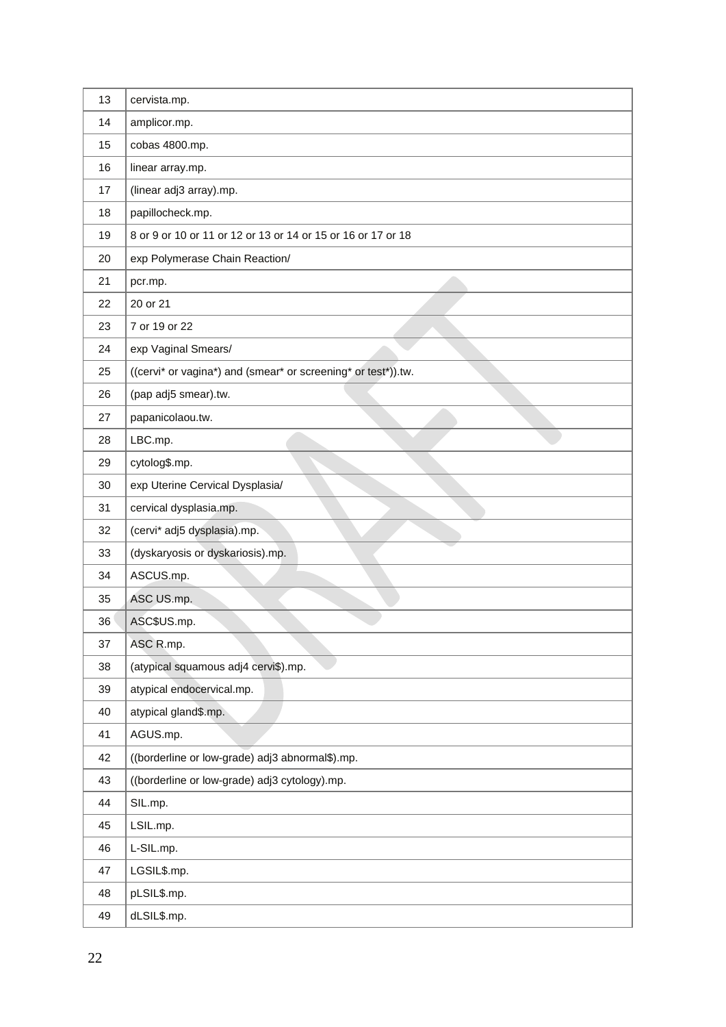| 13 | cervista.mp.                                                  |
|----|---------------------------------------------------------------|
| 14 | amplicor.mp.                                                  |
| 15 | cobas 4800.mp.                                                |
| 16 | linear array.mp.                                              |
| 17 | (linear adj3 array).mp.                                       |
| 18 | papillocheck.mp.                                              |
| 19 | 8 or 9 or 10 or 11 or 12 or 13 or 14 or 15 or 16 or 17 or 18  |
| 20 | exp Polymerase Chain Reaction/                                |
| 21 | pcr.mp.                                                       |
| 22 | 20 or 21                                                      |
| 23 | 7 or 19 or 22                                                 |
| 24 | exp Vaginal Smears/                                           |
| 25 | ((cervi* or vagina*) and (smear* or screening* or test*)).tw. |
| 26 | (pap adj5 smear).tw.                                          |
| 27 | papanicolaou.tw.                                              |
| 28 | LBC.mp.                                                       |
| 29 | cytolog\$.mp.                                                 |
| 30 | exp Uterine Cervical Dysplasia/                               |
| 31 | cervical dysplasia.mp.                                        |
| 32 | (cervi* adj5 dysplasia).mp.                                   |
| 33 | (dyskaryosis or dyskariosis).mp.                              |
| 34 | ASCUS.mp.                                                     |
| 35 | ASC US.mp.                                                    |
| 36 | ASC\$US.mp.                                                   |
| 37 | ASC R.mp.                                                     |
| 38 | (atypical squamous adj4 cervi\$).mp.                          |
| 39 | atypical endocervical.mp.                                     |
| 40 | atypical gland\$.mp.                                          |
| 41 | AGUS.mp.                                                      |
| 42 | ((borderline or low-grade) adj3 abnormal\$).mp.               |
| 43 | ((borderline or low-grade) adj3 cytology).mp.                 |
| 44 | SIL.mp.                                                       |
| 45 | LSIL.mp.                                                      |
| 46 | L-SIL.mp.                                                     |
| 47 | LGSIL\$.mp.                                                   |
| 48 | pLSIL\$.mp.                                                   |
| 49 | dLSIL\$.mp.                                                   |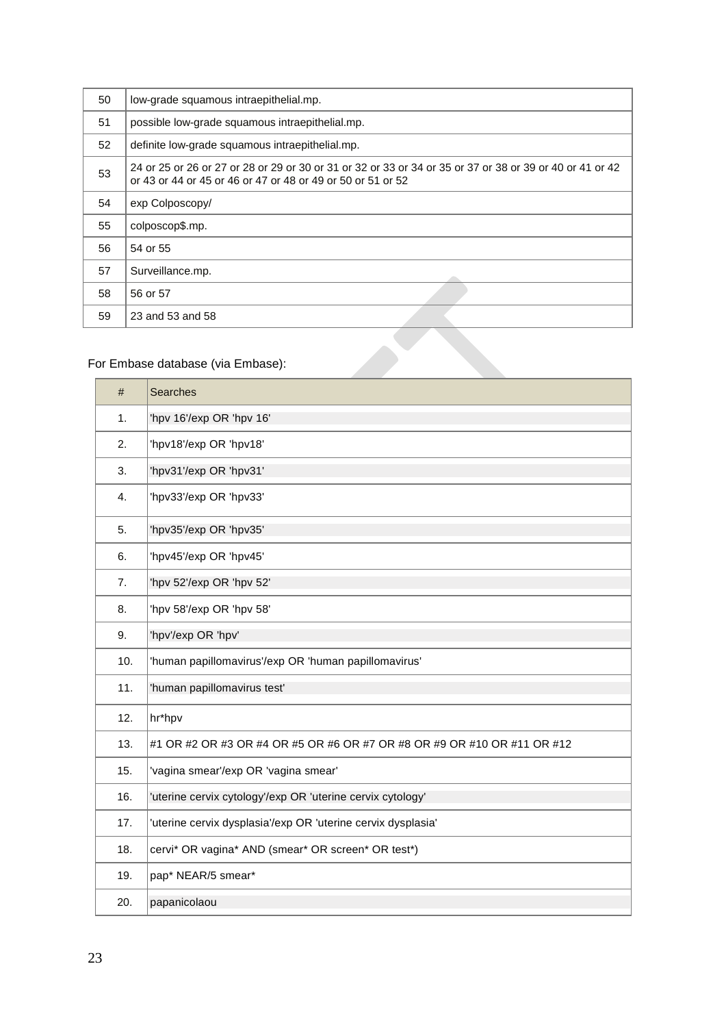| 50 | low-grade squamous intraepithelial.mp.                                                                                                                                  |
|----|-------------------------------------------------------------------------------------------------------------------------------------------------------------------------|
| 51 | possible low-grade squamous intraepithelial.mp.                                                                                                                         |
| 52 | definite low-grade squamous intraepithelial.mp.                                                                                                                         |
| 53 | 24 or 25 or 26 or 27 or 28 or 29 or 30 or 31 or 32 or 33 or 34 or 35 or 37 or 38 or 39 or 40 or 41 or 42<br>or 43 or 44 or 45 or 46 or 47 or 48 or 49 or 50 or 51 or 52 |
| 54 | exp Colposcopy/                                                                                                                                                         |
| 55 | colposcop\$.mp.                                                                                                                                                         |
| 56 | 54 or 55                                                                                                                                                                |
| 57 | Surveillance.mp.                                                                                                                                                        |
| 58 | 56 or 57                                                                                                                                                                |
| 59 | 23 and 53 and 58                                                                                                                                                        |
|    |                                                                                                                                                                         |

# For Embase database (via Embase):

| #   | <b>Searches</b>                                                         |
|-----|-------------------------------------------------------------------------|
| 1.  | 'hpv 16'/exp OR 'hpv 16'                                                |
| 2.  | 'hpv18'/exp OR 'hpv18'                                                  |
| 3.  | 'hpv31'/exp OR 'hpv31'                                                  |
| 4.  | 'hpv33'/exp OR 'hpv33'                                                  |
| 5.  | 'hpv35'/exp OR 'hpv35'                                                  |
| 6.  | 'hpv45'/exp OR 'hpv45'                                                  |
| 7.  | 'hpv 52'/exp OR 'hpv 52'                                                |
| 8.  | 'hpv 58'/exp OR 'hpv 58'                                                |
| 9.  | 'hpv'/exp OR 'hpv'                                                      |
| 10. | 'human papillomavirus'/exp OR 'human papillomavirus'                    |
| 11. | 'human papillomavirus test'                                             |
| 12. | hr*hpv                                                                  |
| 13. | #1 OR #2 OR #3 OR #4 OR #5 OR #6 OR #7 OR #8 OR #9 OR #10 OR #11 OR #12 |
| 15. | 'vagina smear'/exp OR 'vagina smear'                                    |
| 16. | 'uterine cervix cytology'/exp OR 'uterine cervix cytology'              |
| 17. | 'uterine cervix dysplasia'/exp OR 'uterine cervix dysplasia'            |
| 18. | cervi* OR vagina* AND (smear* OR screen* OR test*)                      |
| 19. | pap* NEAR/5 smear*                                                      |
| 20. | papanicolaou                                                            |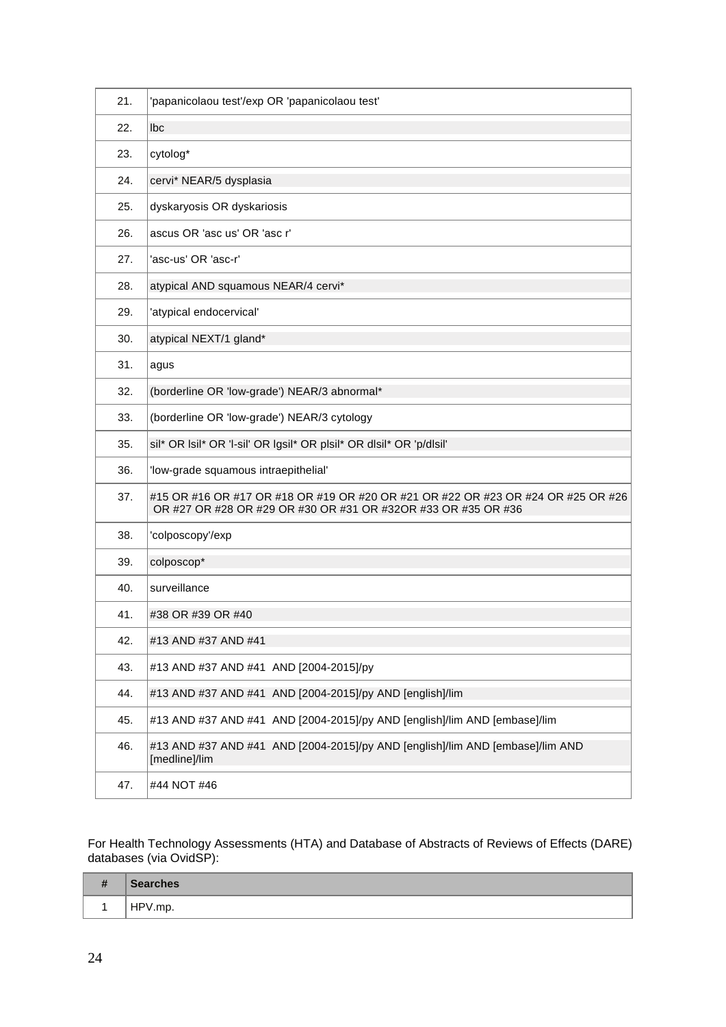| 21. | 'papanicolaou test'/exp OR 'papanicolaou test'                                                                                                    |  |
|-----|---------------------------------------------------------------------------------------------------------------------------------------------------|--|
| 22. | lbc                                                                                                                                               |  |
| 23. | cytolog*                                                                                                                                          |  |
| 24. | cervi* NEAR/5 dysplasia                                                                                                                           |  |
| 25. | dyskaryosis OR dyskariosis                                                                                                                        |  |
| 26. | ascus OR 'asc us' OR 'asc r'                                                                                                                      |  |
| 27. | 'asc-us' OR 'asc-r'                                                                                                                               |  |
| 28. | atypical AND squamous NEAR/4 cervi*                                                                                                               |  |
| 29. | 'atypical endocervical'                                                                                                                           |  |
| 30. | atypical NEXT/1 gland*                                                                                                                            |  |
| 31. | agus                                                                                                                                              |  |
| 32. | (borderline OR 'low-grade') NEAR/3 abnormal*                                                                                                      |  |
| 33. | (borderline OR 'low-grade') NEAR/3 cytology                                                                                                       |  |
| 35. | sil* OR Isil* OR 'I-sil' OR Igsil* OR plsil* OR dlsil* OR 'p/dlsil'                                                                               |  |
| 36. | 'low-grade squamous intraepithelial'                                                                                                              |  |
| 37. | #15 OR #16 OR #17 OR #18 OR #19 OR #20 OR #21 OR #22 OR #23 OR #24 OR #25 OR #26<br>OR #27 OR #28 OR #29 OR #30 OR #31 OR #32OR #33 OR #35 OR #36 |  |
| 38. | 'colposcopy'/exp                                                                                                                                  |  |
| 39. | colposcop*                                                                                                                                        |  |
| 40. | surveillance                                                                                                                                      |  |
| 41. | #38 OR #39 OR #40                                                                                                                                 |  |
| 42. | #13 AND #37 AND #41                                                                                                                               |  |
| 43. | #13 AND #37 AND #41 AND [2004-2015]/py                                                                                                            |  |
| 44. | #13 AND #37 AND #41 AND [2004-2015]/py AND [english]/lim                                                                                          |  |
| 45. | #13 AND #37 AND #41 AND [2004-2015]/py AND [english]/lim AND [embase]/lim                                                                         |  |
| 46. | #13 AND #37 AND #41 AND [2004-2015]/py AND [english]/lim AND [embase]/lim AND<br>[medline]/lim                                                    |  |
| 47. | #44 NOT #46                                                                                                                                       |  |

For Health Technology Assessments (HTA) and Database of Abstracts of Reviews of Effects (DARE) databases (via OvidSP):

| $\overline{\mathbf{H}}$<br>- -<br><b>TT</b> | <b>Searches</b> |
|---------------------------------------------|-----------------|
|                                             | HPV.mp.         |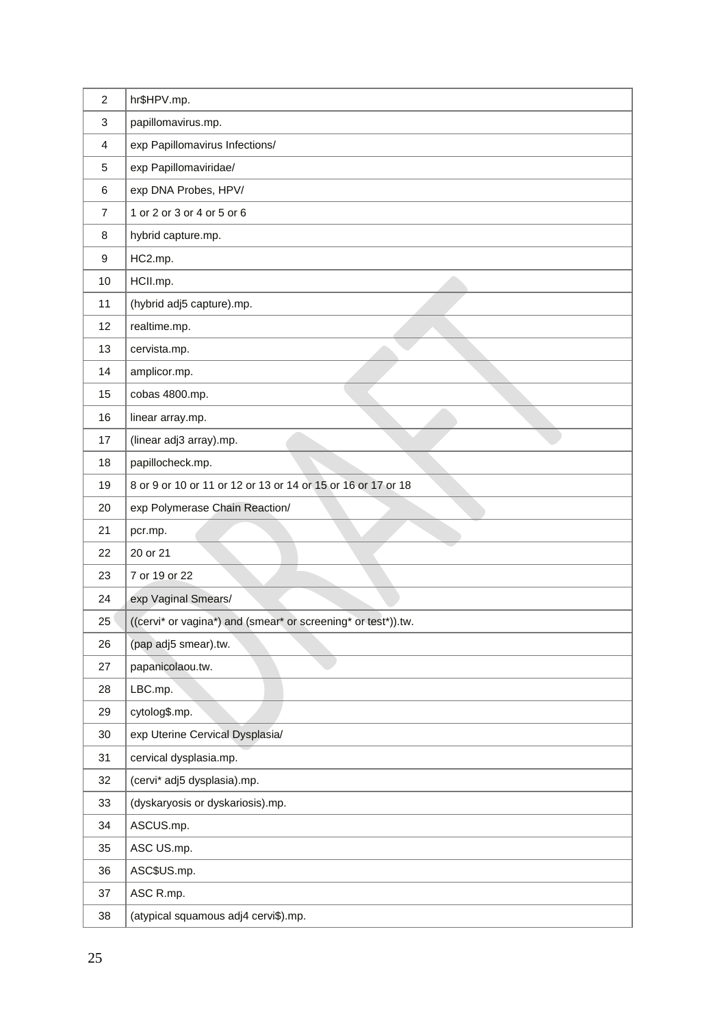| $\overline{c}$ | hr\$HPV.mp.                                                   |
|----------------|---------------------------------------------------------------|
| 3              | papillomavirus.mp.                                            |
| 4              | exp Papillomavirus Infections/                                |
| 5              | exp Papillomaviridae/                                         |
| 6              | exp DNA Probes, HPV/                                          |
| $\overline{7}$ | 1 or 2 or 3 or 4 or 5 or 6                                    |
| 8              | hybrid capture.mp.                                            |
| 9              | HC2.mp.                                                       |
| 10             | HCII.mp.                                                      |
| 11             | (hybrid adj5 capture).mp.                                     |
| 12             | realtime.mp.                                                  |
| 13             | cervista.mp.                                                  |
| 14             | amplicor.mp.                                                  |
| 15             | cobas 4800.mp.                                                |
| 16             | linear array.mp.                                              |
| 17             | (linear adj3 array).mp.                                       |
| 18             | papillocheck.mp.                                              |
| 19             | 8 or 9 or 10 or 11 or 12 or 13 or 14 or 15 or 16 or 17 or 18  |
| 20             | exp Polymerase Chain Reaction/                                |
| 21             | pcr.mp.                                                       |
| 22             | 20 or 21                                                      |
| 23             | 7 or 19 or 22                                                 |
| 24             | exp Vaginal Smears/                                           |
| 25             | ((cervi* or vagina*) and (smear* or screening* or test*)).tw. |
| 26             | (pap adj5 smear).tw.                                          |
| 27             | papanicolaou.tw.                                              |
| 28             | LBC.mp.                                                       |
| 29             | cytolog\$.mp.                                                 |
| 30             | exp Uterine Cervical Dysplasia/                               |
| 31             | cervical dysplasia.mp.                                        |
| 32             | (cervi* adj5 dysplasia).mp.                                   |
| 33             | (dyskaryosis or dyskariosis).mp.                              |
| 34             | ASCUS.mp.                                                     |
| 35             | ASC US.mp.                                                    |
| 36             | ASC\$US.mp.                                                   |
| 37             | ASC R.mp.                                                     |
| 38             | (atypical squamous adj4 cervi\$).mp.                          |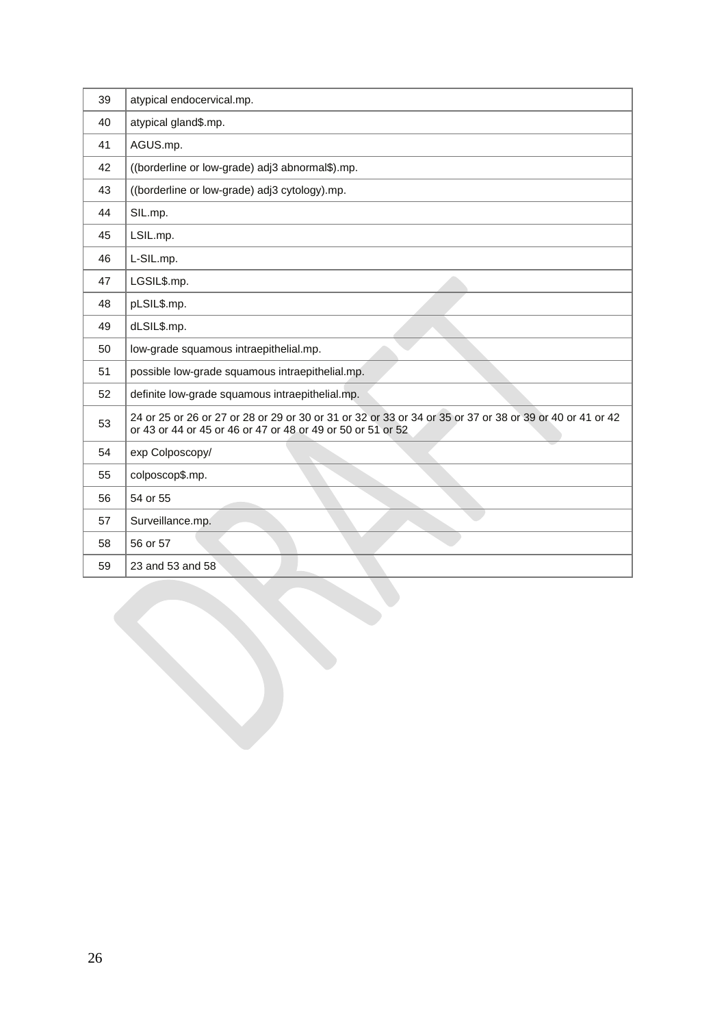| 39 | atypical endocervical.mp.                                                                                                                                               |
|----|-------------------------------------------------------------------------------------------------------------------------------------------------------------------------|
| 40 | atypical gland\$.mp.                                                                                                                                                    |
| 41 | AGUS.mp.                                                                                                                                                                |
| 42 | ((borderline or low-grade) adj3 abnormal\$).mp.                                                                                                                         |
| 43 | ((borderline or low-grade) adj3 cytology).mp.                                                                                                                           |
| 44 | SIL.mp.                                                                                                                                                                 |
| 45 | LSIL.mp.                                                                                                                                                                |
| 46 | L-SIL.mp.                                                                                                                                                               |
| 47 | LGSIL\$.mp.                                                                                                                                                             |
| 48 | pLSIL\$.mp.                                                                                                                                                             |
| 49 | dLSIL\$.mp.                                                                                                                                                             |
| 50 | low-grade squamous intraepithelial.mp.                                                                                                                                  |
| 51 | possible low-grade squamous intraepithelial.mp.                                                                                                                         |
| 52 | definite low-grade squamous intraepithelial.mp.                                                                                                                         |
| 53 | 24 or 25 or 26 or 27 or 28 or 29 or 30 or 31 or 32 or 33 or 34 or 35 or 37 or 38 or 39 or 40 or 41 or 42<br>or 43 or 44 or 45 or 46 or 47 or 48 or 49 or 50 or 51 or 52 |
| 54 | exp Colposcopy/                                                                                                                                                         |
| 55 | colposcop\$.mp.                                                                                                                                                         |
| 56 | 54 or 55                                                                                                                                                                |
| 57 | Surveillance.mp.                                                                                                                                                        |
| 58 | 56 or 57                                                                                                                                                                |
| 59 | 23 and 53 and 58                                                                                                                                                        |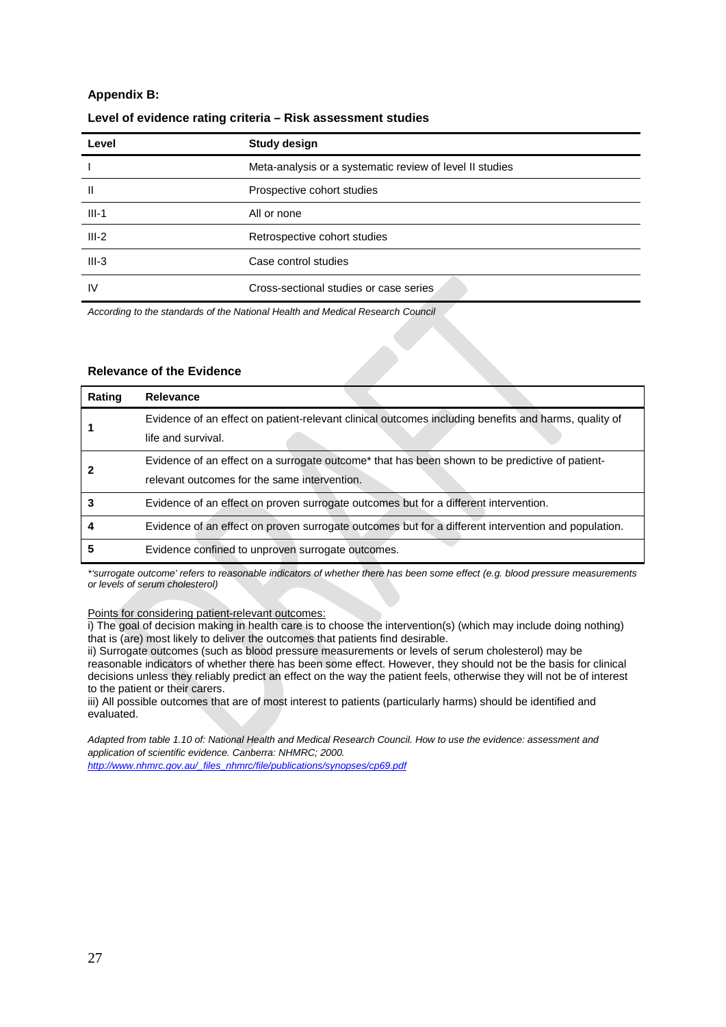### **Appendix B:**

| Level   | <b>Study design</b>                                      |
|---------|----------------------------------------------------------|
|         | Meta-analysis or a systematic review of level II studies |
| Ш       | Prospective cohort studies                               |
| $III-1$ | All or none                                              |
| $III-2$ | Retrospective cohort studies                             |
| $III-3$ | Case control studies                                     |
| IV      | Cross-sectional studies or case series                   |

### **Level of evidence rating criteria – Risk assessment studies**

*According to the standards of the National Health and Medical Research Council*

#### **Relevance of the Evidence**

| Rating | <b>Relevance</b>                                                                                                                                           |  |
|--------|------------------------------------------------------------------------------------------------------------------------------------------------------------|--|
|        | Evidence of an effect on patient-relevant clinical outcomes including benefits and harms, quality of<br>life and survival.                                 |  |
|        | Evidence of an effect on a surrogate outcome <sup>*</sup> that has been shown to be predictive of patient-<br>relevant outcomes for the same intervention. |  |
|        | Evidence of an effect on proven surrogate outcomes but for a different intervention.                                                                       |  |
|        | Evidence of an effect on proven surrogate outcomes but for a different intervention and population.                                                        |  |
|        | Evidence confined to unproven surrogate outcomes.                                                                                                          |  |

*\*'surrogate outcome' refers to reasonable indicators of whether there has been some effect (e.g. blood pressure measurements or levels of serum cholesterol)* 

Points for considering patient-relevant outcomes:

i) The goal of decision making in health care is to choose the intervention(s) (which may include doing nothing) that is (are) most likely to deliver the outcomes that patients find desirable.

ii) Surrogate outcomes (such as blood pressure measurements or levels of serum cholesterol) may be reasonable indicators of whether there has been some effect. However, they should not be the basis for clinical decisions unless they reliably predict an effect on the way the patient feels, otherwise they will not be of interest to the patient or their carers.

iii) All possible outcomes that are of most interest to patients (particularly harms) should be identified and evaluated.

*Adapted from table 1.10 of: National Health and Medical Research Council. How to use the evidence: assessment and application of scientific evidence. Canberra: NHMRC; 2000.* 

*[http://www.nhmrc.gov.au/\\_files\\_nhmrc/file/publications/synopses/cp69.pdf](http://www.nhmrc.gov.au/_files_nhmrc/file/publications/synopses/cp69.pdf)*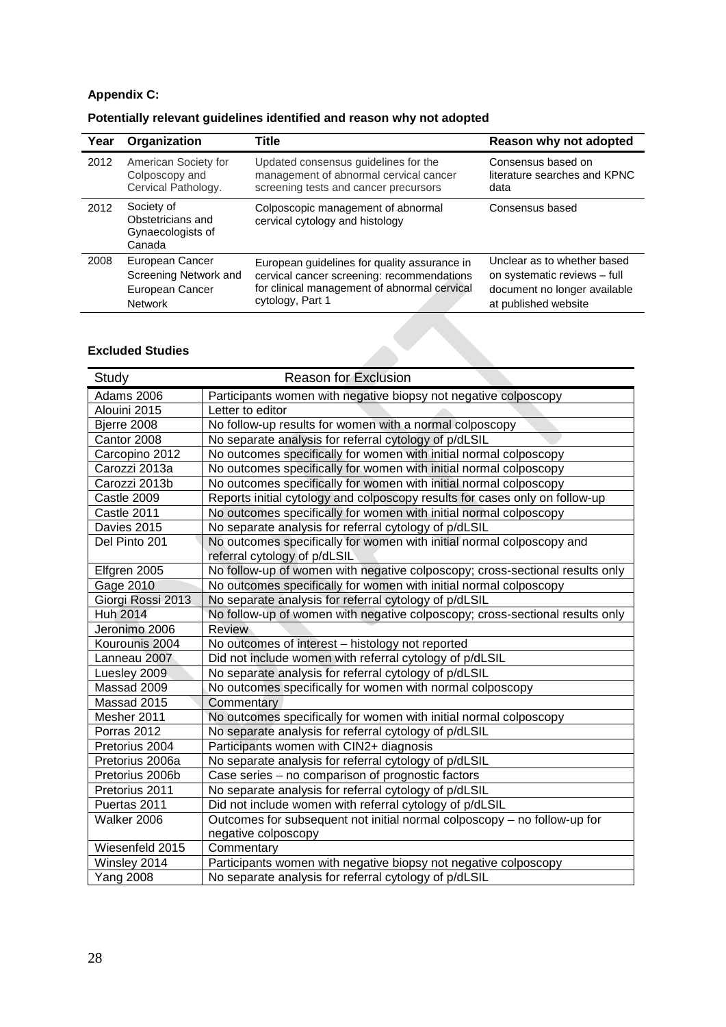# **Appendix C:**

| Potentially relevant guidelines identified and reason why not adopted |  |  |
|-----------------------------------------------------------------------|--|--|
|-----------------------------------------------------------------------|--|--|

| Year | Organization                                                   | <b>Title</b>                                                          | Reason why not adopted       |
|------|----------------------------------------------------------------|-----------------------------------------------------------------------|------------------------------|
| 2012 | American Society for                                           | Updated consensus guidelines for the                                  | Consensus based on           |
|      | Colposcopy and                                                 | management of abnormal cervical cancer                                | literature searches and KPNC |
|      | Cervical Pathology.                                            | screening tests and cancer precursors                                 | data                         |
| 2012 | Society of<br>Obstetricians and<br>Gynaecologists of<br>Canada | Colposcopic management of abnormal<br>cervical cytology and histology | Consensus based              |
| 2008 | European Cancer                                                | European guidelines for quality assurance in                          | Unclear as to whether based  |
|      | Screening Network and                                          | cervical cancer screening: recommendations                            | on systematic reviews - full |
|      | European Cancer                                                | for clinical management of abnormal cervical                          | document no longer available |
|      | <b>Network</b>                                                 | cytology, Part 1                                                      | at published website         |

## **Excluded Studies**

| Study             | <b>Reason for Exclusion</b>                                                                           |
|-------------------|-------------------------------------------------------------------------------------------------------|
| Adams 2006        | Participants women with negative biopsy not negative colposcopy                                       |
| Alouini 2015      | Letter to editor                                                                                      |
| Bjerre 2008       | No follow-up results for women with a normal colposcopy                                               |
| Cantor 2008       | No separate analysis for referral cytology of p/dLSIL                                                 |
| Carcopino 2012    | No outcomes specifically for women with initial normal colposcopy                                     |
| Carozzi 2013a     | No outcomes specifically for women with initial normal colposcopy                                     |
| Carozzi 2013b     | No outcomes specifically for women with initial normal colposcopy                                     |
| Castle 2009       | Reports initial cytology and colposcopy results for cases only on follow-up                           |
| Castle 2011       | No outcomes specifically for women with initial normal colposcopy                                     |
| Davies 2015       | No separate analysis for referral cytology of p/dLSIL                                                 |
| Del Pinto 201     | No outcomes specifically for women with initial normal colposcopy and<br>referral cytology of p/dLSIL |
| Elfgren 2005      | No follow-up of women with negative colposcopy; cross-sectional results only                          |
| Gage 2010         | No outcomes specifically for women with initial normal colposcopy                                     |
| Giorgi Rossi 2013 | No separate analysis for referral cytology of p/dLSIL                                                 |
| <b>Huh 2014</b>   | No follow-up of women with negative colposcopy; cross-sectional results only                          |
| Jeronimo 2006     | <b>Review</b>                                                                                         |
| Kourounis 2004    | No outcomes of interest - histology not reported                                                      |
| Lanneau 2007      | Did not include women with referral cytology of p/dLSIL                                               |
| Luesley 2009      | No separate analysis for referral cytology of p/dLSIL                                                 |
| Massad 2009       | No outcomes specifically for women with normal colposcopy                                             |
| Massad 2015       | Commentary                                                                                            |
| Mesher 2011       | No outcomes specifically for women with initial normal colposcopy                                     |
| Porras 2012       | No separate analysis for referral cytology of p/dLSIL                                                 |
| Pretorius 2004    | Participants women with CIN2+ diagnosis                                                               |
| Pretorius 2006a   | No separate analysis for referral cytology of p/dLSIL                                                 |
| Pretorius 2006b   | Case series - no comparison of prognostic factors                                                     |
| Pretorius 2011    | No separate analysis for referral cytology of p/dLSIL                                                 |
| Puertas 2011      | Did not include women with referral cytology of p/dLSIL                                               |
| Walker 2006       | Outcomes for subsequent not initial normal colposcopy - no follow-up for                              |
|                   | negative colposcopy                                                                                   |
| Wiesenfeld 2015   | Commentary                                                                                            |
| Winsley 2014      | Participants women with negative biopsy not negative colposcopy                                       |
| <b>Yang 2008</b>  | No separate analysis for referral cytology of p/dLSIL                                                 |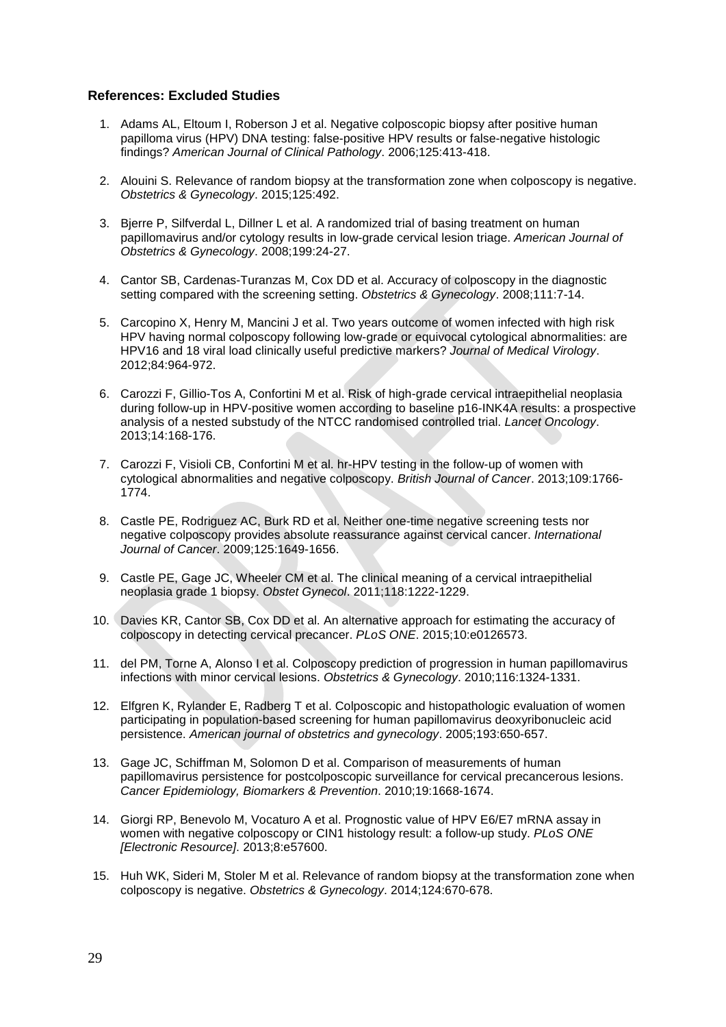## **References: Excluded Studies**

- 1. Adams AL, Eltoum I, Roberson J et al. Negative colposcopic biopsy after positive human papilloma virus (HPV) DNA testing: false-positive HPV results or false-negative histologic findings? *American Journal of Clinical Pathology*. 2006;125:413-418.
- 2. Alouini S. Relevance of random biopsy at the transformation zone when colposcopy is negative. *Obstetrics & Gynecology*. 2015;125:492.
- 3. Bjerre P, Silfverdal L, Dillner L et al. A randomized trial of basing treatment on human papillomavirus and/or cytology results in low-grade cervical lesion triage. *American Journal of Obstetrics & Gynecology*. 2008;199:24-27.
- 4. Cantor SB, Cardenas-Turanzas M, Cox DD et al. Accuracy of colposcopy in the diagnostic setting compared with the screening setting. *Obstetrics & Gynecology*. 2008;111:7-14.
- 5. Carcopino X, Henry M, Mancini J et al. Two years outcome of women infected with high risk HPV having normal colposcopy following low-grade or equivocal cytological abnormalities: are HPV16 and 18 viral load clinically useful predictive markers? *Journal of Medical Virology*. 2012;84:964-972.
- 6. Carozzi F, Gillio-Tos A, Confortini M et al. Risk of high-grade cervical intraepithelial neoplasia during follow-up in HPV-positive women according to baseline p16-INK4A results: a prospective analysis of a nested substudy of the NTCC randomised controlled trial. *Lancet Oncology*. 2013;14:168-176.
- 7. Carozzi F, Visioli CB, Confortini M et al. hr-HPV testing in the follow-up of women with cytological abnormalities and negative colposcopy. *British Journal of Cancer*. 2013;109:1766- 1774.
- 8. Castle PE, Rodriguez AC, Burk RD et al. Neither one-time negative screening tests nor negative colposcopy provides absolute reassurance against cervical cancer. *International Journal of Cancer*. 2009;125:1649-1656.
- 9. Castle PE, Gage JC, Wheeler CM et al. The clinical meaning of a cervical intraepithelial neoplasia grade 1 biopsy. *Obstet Gynecol*. 2011;118:1222-1229.
- 10. Davies KR, Cantor SB, Cox DD et al. An alternative approach for estimating the accuracy of colposcopy in detecting cervical precancer. *PLoS ONE*. 2015;10:e0126573.
- 11. del PM, Torne A, Alonso I et al. Colposcopy prediction of progression in human papillomavirus infections with minor cervical lesions. *Obstetrics & Gynecology*. 2010;116:1324-1331.
- 12. Elfgren K, Rylander E, Radberg T et al. Colposcopic and histopathologic evaluation of women participating in population-based screening for human papillomavirus deoxyribonucleic acid persistence. *American journal of obstetrics and gynecology*. 2005;193:650-657.
- 13. Gage JC, Schiffman M, Solomon D et al. Comparison of measurements of human papillomavirus persistence for postcolposcopic surveillance for cervical precancerous lesions. *Cancer Epidemiology, Biomarkers & Prevention*. 2010;19:1668-1674.
- 14. Giorgi RP, Benevolo M, Vocaturo A et al. Prognostic value of HPV E6/E7 mRNA assay in women with negative colposcopy or CIN1 histology result: a follow-up study. *PLoS ONE [Electronic Resource]*. 2013;8:e57600.
- 15. Huh WK, Sideri M, Stoler M et al. Relevance of random biopsy at the transformation zone when colposcopy is negative. *Obstetrics & Gynecology*. 2014;124:670-678.